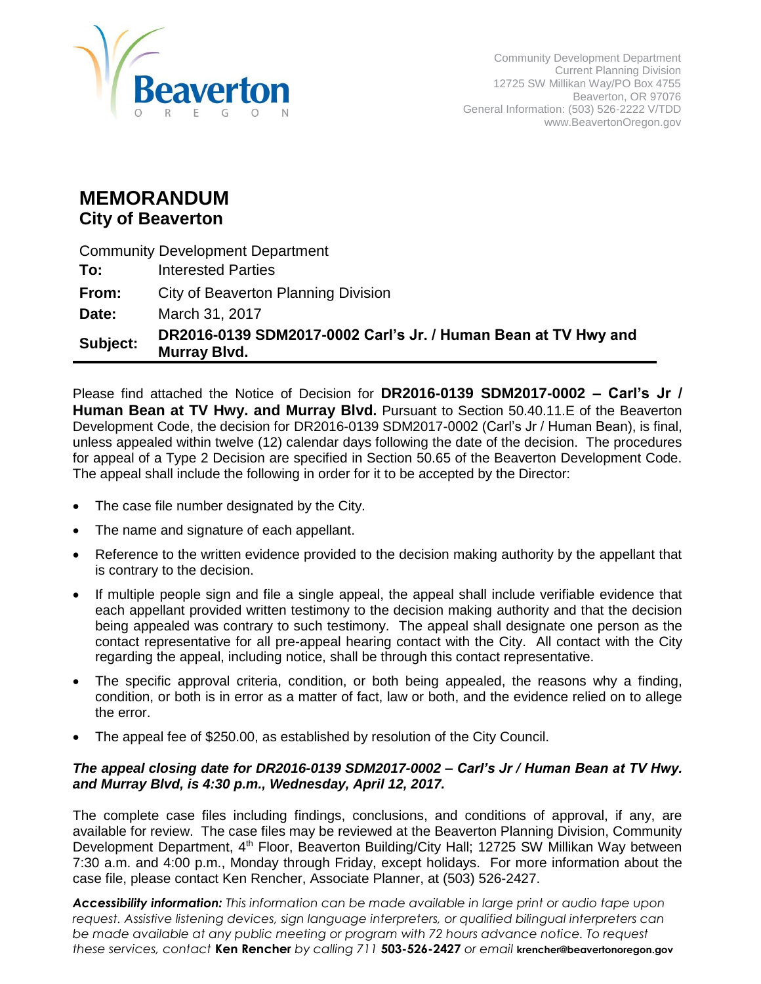

# **MEMORANDUM City of Beaverton**

| Subject: | DR2016-0139 SDM2017-0002 Carl's Jr. / Human Bean at TV Hwy and<br>Murray Blvd. |
|----------|--------------------------------------------------------------------------------|
| Date:    | March 31, 2017                                                                 |
| From:    | City of Beaverton Planning Division                                            |
| To:      | <b>Interested Parties</b>                                                      |
|          | <b>Community Development Department</b>                                        |

Please find attached the Notice of Decision for **DR2016-0139 SDM2017-0002 – Carl's Jr / Human Bean at TV Hwy. and Murray Blvd.** Pursuant to Section 50.40.11.E of the Beaverton Development Code, the decision for DR2016-0139 SDM2017-0002 (Carl's Jr / Human Bean), is final, unless appealed within twelve (12) calendar days following the date of the decision. The procedures for appeal of a Type 2 Decision are specified in Section 50.65 of the Beaverton Development Code. The appeal shall include the following in order for it to be accepted by the Director:

- The case file number designated by the City.
- The name and signature of each appellant.
- Reference to the written evidence provided to the decision making authority by the appellant that is contrary to the decision.
- If multiple people sign and file a single appeal, the appeal shall include verifiable evidence that each appellant provided written testimony to the decision making authority and that the decision being appealed was contrary to such testimony. The appeal shall designate one person as the contact representative for all pre-appeal hearing contact with the City. All contact with the City regarding the appeal, including notice, shall be through this contact representative.
- The specific approval criteria, condition, or both being appealed, the reasons why a finding, condition, or both is in error as a matter of fact, law or both, and the evidence relied on to allege the error.
- The appeal fee of \$250.00, as established by resolution of the City Council.

#### *The appeal closing date for DR2016-0139 SDM2017-0002 – Carl's Jr / Human Bean at TV Hwy. and Murray Blvd, is 4:30 p.m., Wednesday, April 12, 2017.*

The complete case files including findings, conclusions, and conditions of approval, if any, are available for review. The case files may be reviewed at the Beaverton Planning Division, Community Development Department, 4<sup>th</sup> Floor, Beaverton Building/City Hall; 12725 SW Millikan Way between 7:30 a.m. and 4:00 p.m., Monday through Friday, except holidays. For more information about the case file, please contact Ken Rencher, Associate Planner, at (503) 526-2427.

*Accessibility information: This information can be made available in large print or audio tape upon request. Assistive listening devices, sign language interpreters, or qualified bilingual interpreters can be made available at any public meeting or program with 72 hours advance notice. To request these services, contact* **Ken Rencher** *by calling 711* **503-526-2427** *or email* **krencher@beavertonoregon.gov**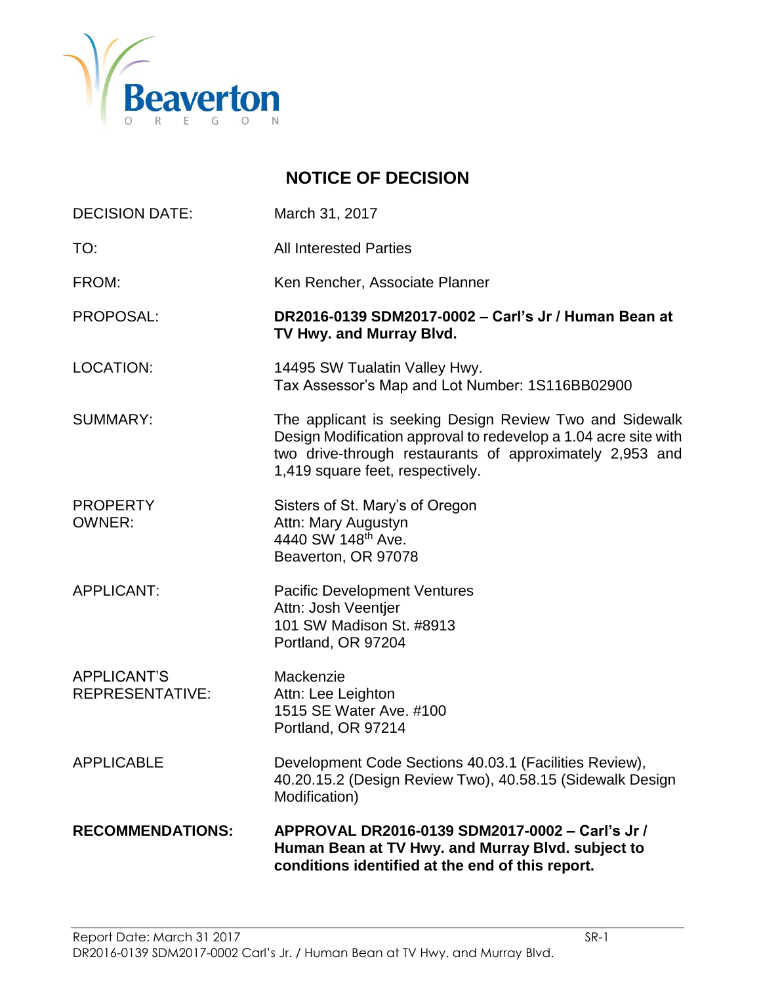

# **NOTICE OF DECISION**

| <b>RECOMMENDATIONS:</b>                      | APPROVAL DR2016-0139 SDM2017-0002 - Carl's Jr /<br>Human Bean at TV Hwy. and Murray Blvd. subject to<br>conditions identified at the end of this report.                                                                   |
|----------------------------------------------|----------------------------------------------------------------------------------------------------------------------------------------------------------------------------------------------------------------------------|
| <b>APPLICABLE</b>                            | Development Code Sections 40.03.1 (Facilities Review),<br>40.20.15.2 (Design Review Two), 40.58.15 (Sidewalk Design<br>Modification)                                                                                       |
| <b>APPLICANT'S</b><br><b>REPRESENTATIVE:</b> | Mackenzie<br>Attn: Lee Leighton<br>1515 SE Water Ave. #100<br>Portland, OR 97214                                                                                                                                           |
| <b>APPLICANT:</b>                            | <b>Pacific Development Ventures</b><br>Attn: Josh Veentjer<br>101 SW Madison St. #8913<br>Portland, OR 97204                                                                                                               |
| <b>PROPERTY</b><br><b>OWNER:</b>             | Sisters of St. Mary's of Oregon<br>Attn: Mary Augustyn<br>4440 SW 148 <sup>th</sup> Ave.<br>Beaverton, OR 97078                                                                                                            |
| <b>SUMMARY:</b>                              | The applicant is seeking Design Review Two and Sidewalk<br>Design Modification approval to redevelop a 1.04 acre site with<br>two drive-through restaurants of approximately 2,953 and<br>1,419 square feet, respectively. |
| <b>LOCATION:</b>                             | 14495 SW Tualatin Valley Hwy.<br>Tax Assessor's Map and Lot Number: 1S116BB02900                                                                                                                                           |
| PROPOSAL:                                    | DR2016-0139 SDM2017-0002 - Carl's Jr / Human Bean at<br>TV Hwy. and Murray Blvd.                                                                                                                                           |
| FROM:                                        | Ken Rencher, Associate Planner                                                                                                                                                                                             |
| TO:                                          | <b>All Interested Parties</b>                                                                                                                                                                                              |
| <b>DECISION DATE:</b>                        | March 31, 2017                                                                                                                                                                                                             |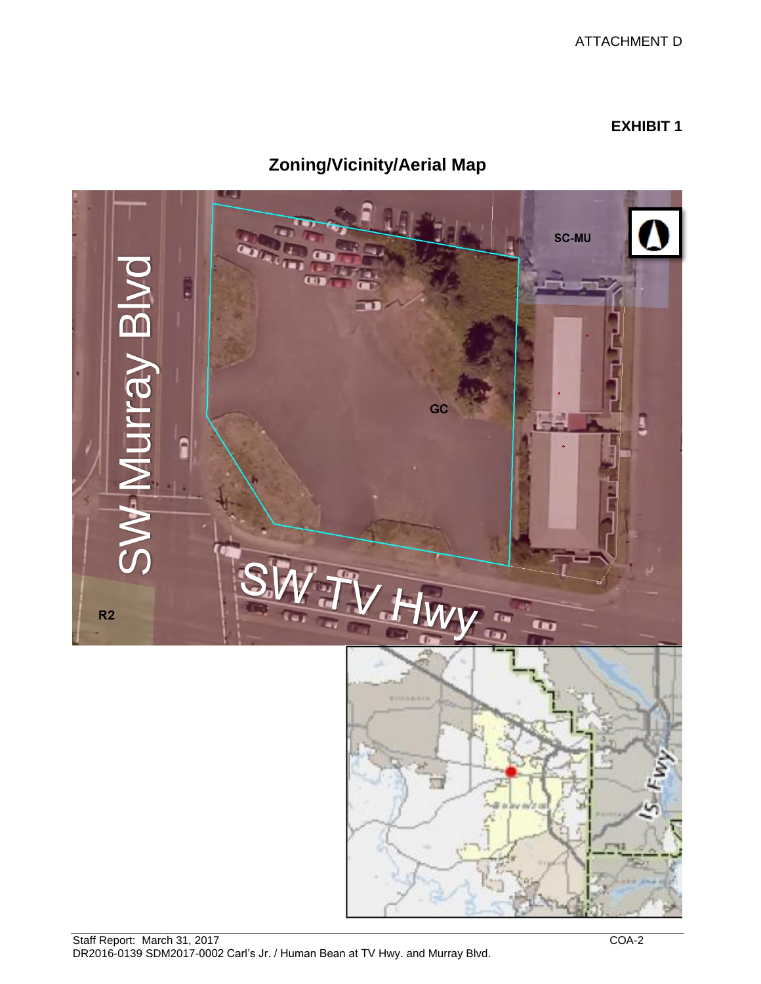# **EXHIBIT 1**

# **Zoning/Vicinity/Aerial Map**

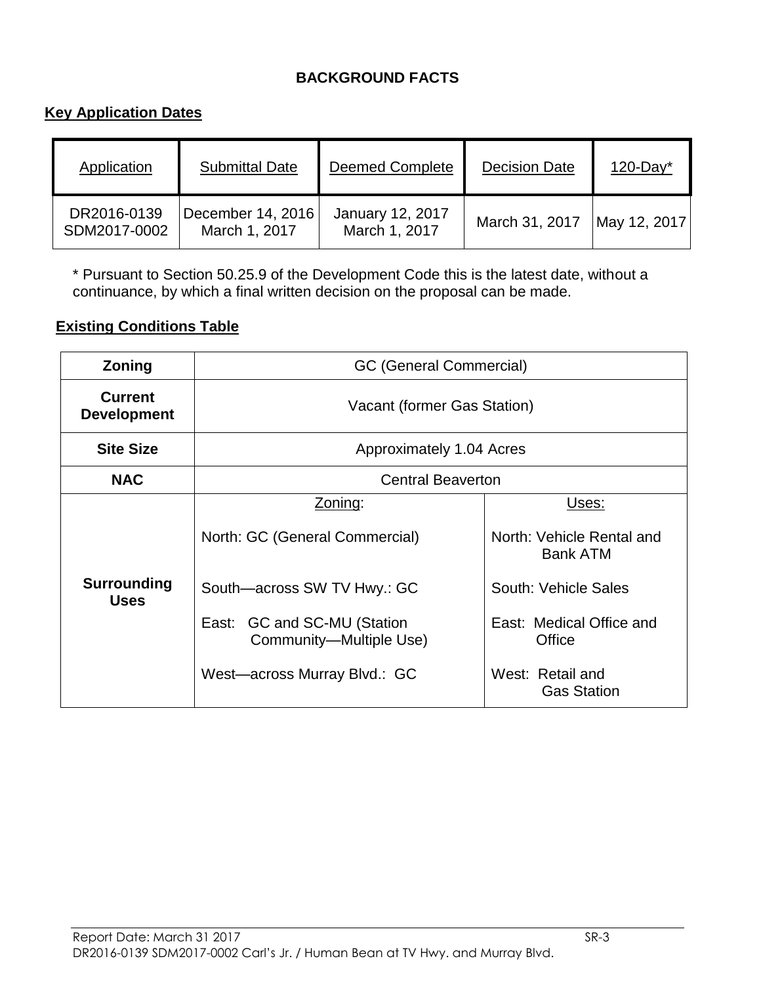# **BACKGROUND FACTS**

# **Key Application Dates**

| Application                 | <b>Submittal Date</b>              | <b>Deemed Complete</b>                   | <b>Decision Date</b> | $120$ -Day <sup>*</sup> |
|-----------------------------|------------------------------------|------------------------------------------|----------------------|-------------------------|
| DR2016-0139<br>SDM2017-0002 | December 14, 2016<br>March 1, 2017 | <b>January 12, 2017</b><br>March 1, 2017 | March 31, 2017       | May 12, 2017            |

\* Pursuant to Section 50.25.9 of the Development Code this is the latest date, without a continuance, by which a final written decision on the proposal can be made.

### **Existing Conditions Table**

| Zoning                               | <b>GC (General Commercial)</b>                                                                                           |                                                                                                      |  |  |
|--------------------------------------|--------------------------------------------------------------------------------------------------------------------------|------------------------------------------------------------------------------------------------------|--|--|
| <b>Current</b><br><b>Development</b> | Vacant (former Gas Station)                                                                                              |                                                                                                      |  |  |
| <b>Site Size</b>                     | Approximately 1.04 Acres                                                                                                 |                                                                                                      |  |  |
| <b>NAC</b>                           | <b>Central Beaverton</b>                                                                                                 |                                                                                                      |  |  |
|                                      | Zoning:<br>North: GC (General Commercial)                                                                                | Uses:<br>North: Vehicle Rental and<br><b>Bank ATM</b>                                                |  |  |
| Surrounding<br><b>Uses</b>           | South-across SW TV Hwy.: GC<br>GC and SC-MU (Station<br>East:<br>Community-Multiple Use)<br>West-across Murray Blvd.: GC | South: Vehicle Sales<br>East: Medical Office and<br>Office<br>West: Retail and<br><b>Gas Station</b> |  |  |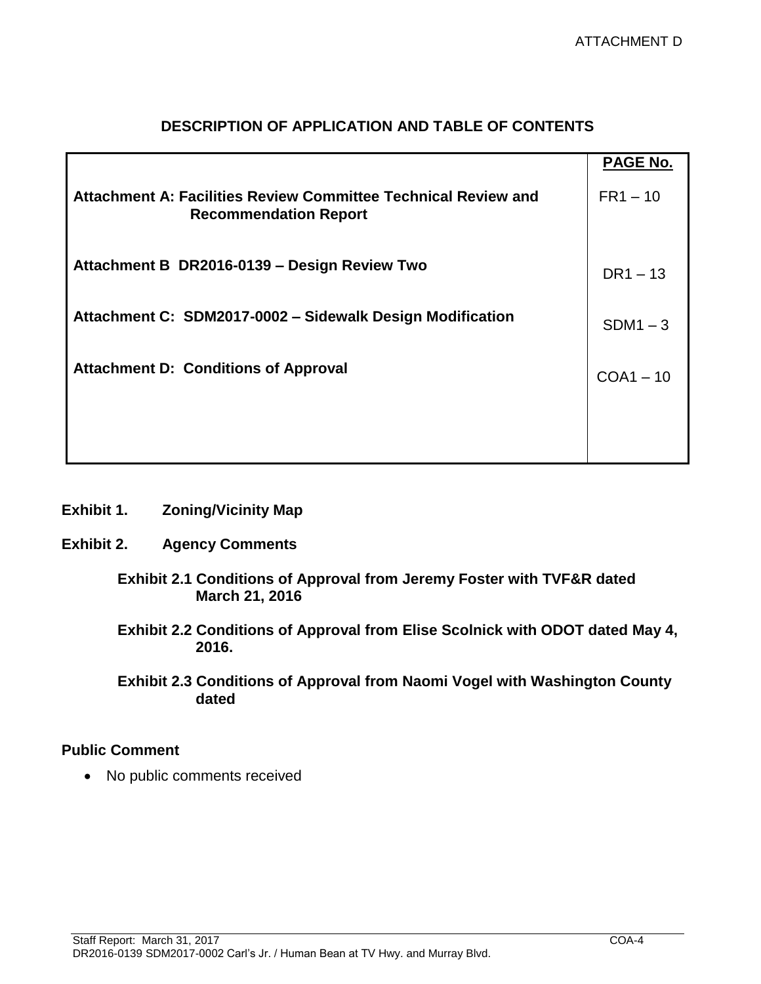|                                                                                                | <b>PAGE No.</b> |
|------------------------------------------------------------------------------------------------|-----------------|
| Attachment A: Facilities Review Committee Technical Review and<br><b>Recommendation Report</b> | $FR1 - 10$      |
| Attachment B DR2016-0139 - Design Review Two                                                   | $DR1 - 13$      |
| Attachment C: SDM2017-0002 - Sidewalk Design Modification                                      | $SDM1 - 3$      |
| <b>Attachment D: Conditions of Approval</b>                                                    | $COA1 - 10$     |
|                                                                                                |                 |

# **DESCRIPTION OF APPLICATION AND TABLE OF CONTENTS**

- **Exhibit 1. Zoning/Vicinity Map**
- **Exhibit 2. Agency Comments**
	- **Exhibit 2.1 Conditions of Approval from Jeremy Foster with TVF&R dated March 21, 2016**
	- **Exhibit 2.2 Conditions of Approval from Elise Scolnick with ODOT dated May 4, 2016.**
	- **Exhibit 2.3 Conditions of Approval from Naomi Vogel with Washington County dated**

#### **Public Comment**

• No public comments received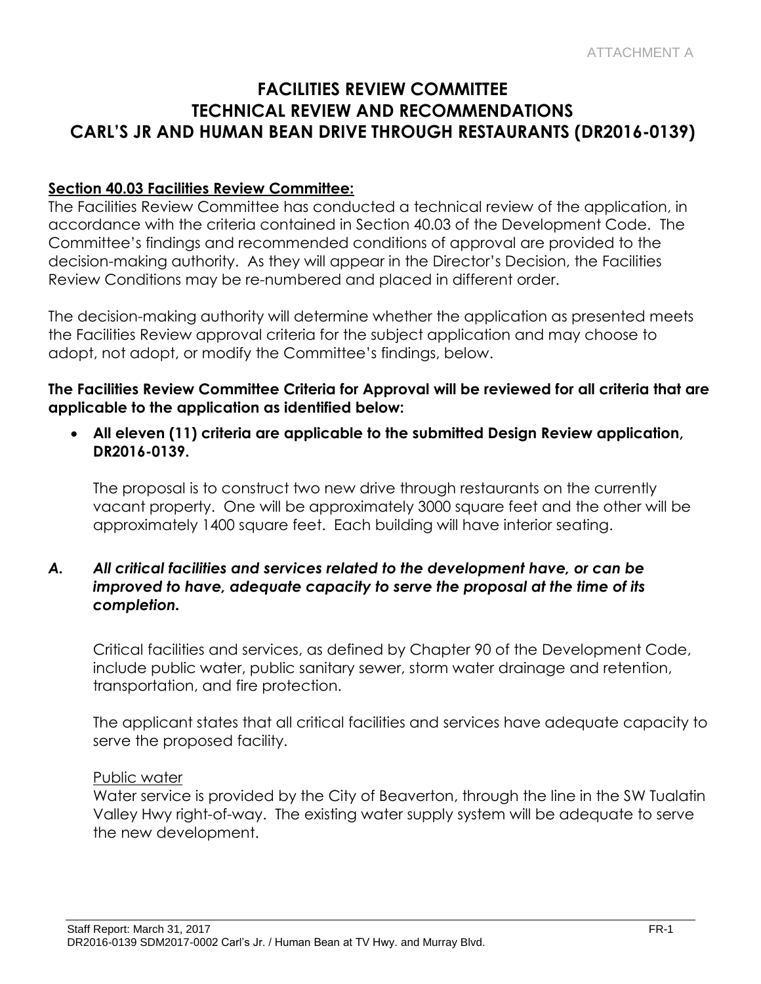# **FACILITIES REVIEW COMMITTEE TECHNICAL REVIEW AND RECOMMENDATIONS CARL'S JR AND HUMAN BEAN DRIVE THROUGH RESTAURANTS (DR2016-0139)**

# **Section 40.03 Facilities Review Committee:**

The Facilities Review Committee has conducted a technical review of the application, in accordance with the criteria contained in Section 40.03 of the Development Code. The Committee's findings and recommended conditions of approval are provided to the decision-making authority. As they will appear in the Director's Decision, the Facilities Review Conditions may be re-numbered and placed in different order.

The decision-making authority will determine whether the application as presented meets the Facilities Review approval criteria for the subject application and may choose to adopt, not adopt, or modify the Committee's findings, below.

**The Facilities Review Committee Criteria for Approval will be reviewed for all criteria that are applicable to the application as identified below:**

 **All eleven (11) criteria are applicable to the submitted Design Review application, DR2016-0139.**

The proposal is to construct two new drive through restaurants on the currently vacant property. One will be approximately 3000 square feet and the other will be approximately 1400 square feet. Each building will have interior seating.

# *A. All critical facilities and services related to the development have, or can be improved to have, adequate capacity to serve the proposal at the time of its completion.*

Critical facilities and services, as defined by Chapter 90 of the Development Code, include public water, public sanitary sewer, storm water drainage and retention, transportation, and fire protection.

The applicant states that all critical facilities and services have adequate capacity to serve the proposed facility.

#### Public water

Water service is provided by the City of Beaverton, through the line in the SW Tualatin Valley Hwy right-of-way. The existing water supply system will be adequate to serve the new development.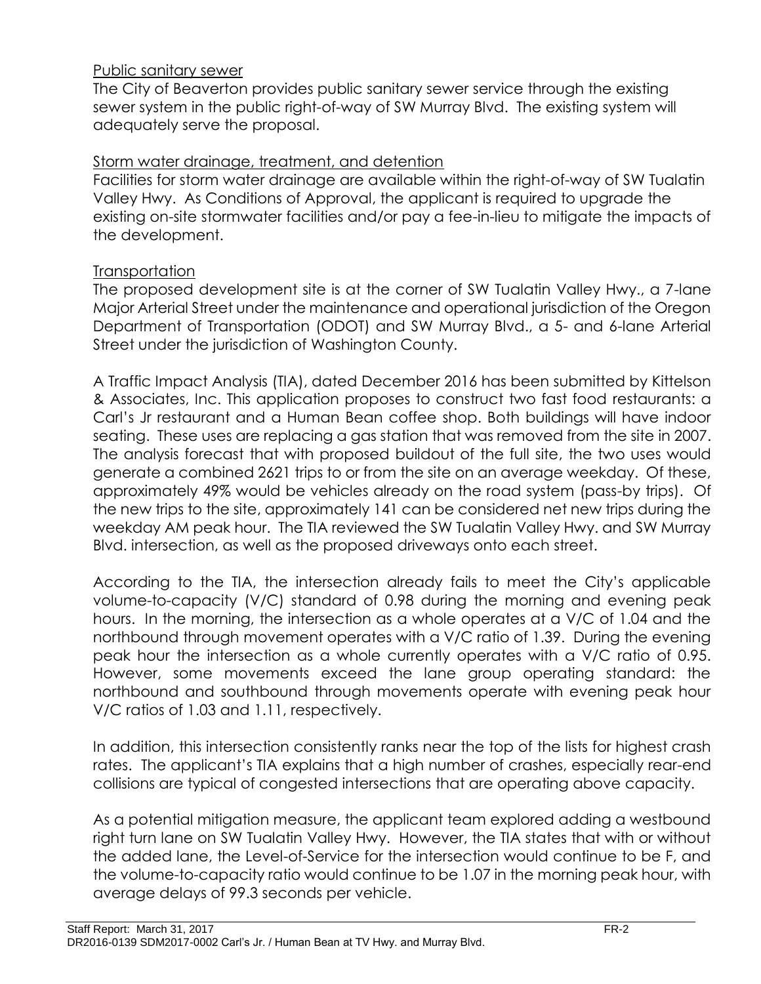# Public sanitary sewer

The City of Beaverton provides public sanitary sewer service through the existing sewer system in the public right-of-way of SW Murray Blvd. The existing system will adequately serve the proposal.

# Storm water drainage, treatment, and detention

Facilities for storm water drainage are available within the right-of-way of SW Tualatin Valley Hwy. As Conditions of Approval, the applicant is required to upgrade the existing on-site stormwater facilities and/or pay a fee-in-lieu to mitigate the impacts of the development.

# Transportation

The proposed development site is at the corner of SW Tualatin Valley Hwy., a 7-lane Major Arterial Street under the maintenance and operational jurisdiction of the Oregon Department of Transportation (ODOT) and SW Murray Blvd., a 5- and 6-lane Arterial Street under the jurisdiction of Washington County.

A Traffic Impact Analysis (TIA), dated December 2016 has been submitted by Kittelson & Associates, Inc. This application proposes to construct two fast food restaurants: a Carl's Jr restaurant and a Human Bean coffee shop. Both buildings will have indoor seating. These uses are replacing a gas station that was removed from the site in 2007. The analysis forecast that with proposed buildout of the full site, the two uses would generate a combined 2621 trips to or from the site on an average weekday. Of these, approximately 49% would be vehicles already on the road system (pass-by trips). Of the new trips to the site, approximately 141 can be considered net new trips during the weekday AM peak hour. The TIA reviewed the SW Tualatin Valley Hwy. and SW Murray Blvd. intersection, as well as the proposed driveways onto each street.

According to the TIA, the intersection already fails to meet the City's applicable volume-to-capacity (V/C) standard of 0.98 during the morning and evening peak hours. In the morning, the intersection as a whole operates at a V/C of 1.04 and the northbound through movement operates with a V/C ratio of 1.39. During the evening peak hour the intersection as a whole currently operates with a V/C ratio of 0.95. However, some movements exceed the lane group operating standard: the northbound and southbound through movements operate with evening peak hour V/C ratios of 1.03 and 1.11, respectively.

In addition, this intersection consistently ranks near the top of the lists for highest crash rates. The applicant's TIA explains that a high number of crashes, especially rear-end collisions are typical of congested intersections that are operating above capacity.

As a potential mitigation measure, the applicant team explored adding a westbound right turn lane on SW Tualatin Valley Hwy. However, the TIA states that with or without the added lane, the Level-of-Service for the intersection would continue to be F, and the volume-to-capacity ratio would continue to be 1.07 in the morning peak hour, with average delays of 99.3 seconds per vehicle.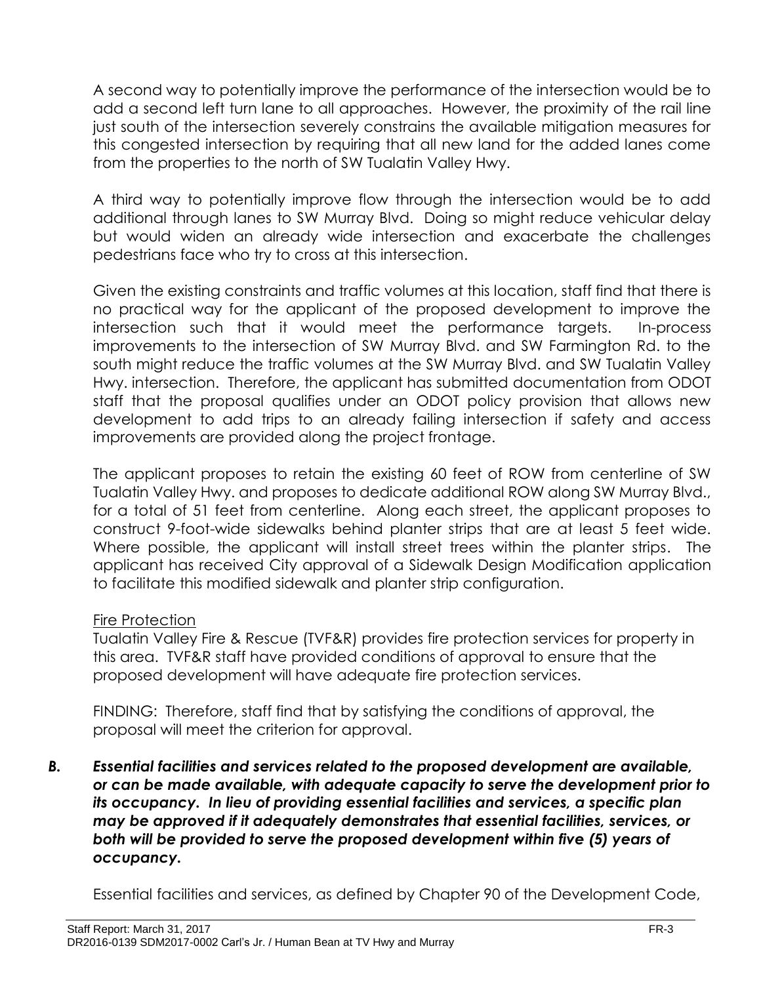A second way to potentially improve the performance of the intersection would be to add a second left turn lane to all approaches. However, the proximity of the rail line just south of the intersection severely constrains the available mitigation measures for this congested intersection by requiring that all new land for the added lanes come from the properties to the north of SW Tualatin Valley Hwy.

A third way to potentially improve flow through the intersection would be to add additional through lanes to SW Murray Blvd. Doing so might reduce vehicular delay but would widen an already wide intersection and exacerbate the challenges pedestrians face who try to cross at this intersection.

Given the existing constraints and traffic volumes at this location, staff find that there is no practical way for the applicant of the proposed development to improve the intersection such that it would meet the performance targets. In-process improvements to the intersection of SW Murray Blvd. and SW Farmington Rd. to the south might reduce the traffic volumes at the SW Murray Blvd. and SW Tualatin Valley Hwy. intersection. Therefore, the applicant has submitted documentation from ODOT staff that the proposal qualifies under an ODOT policy provision that allows new development to add trips to an already failing intersection if safety and access improvements are provided along the project frontage.

The applicant proposes to retain the existing 60 feet of ROW from centerline of SW Tualatin Valley Hwy. and proposes to dedicate additional ROW along SW Murray Blvd., for a total of 51 feet from centerline. Along each street, the applicant proposes to construct 9-foot-wide sidewalks behind planter strips that are at least 5 feet wide. Where possible, the applicant will install street trees within the planter strips. The applicant has received City approval of a Sidewalk Design Modification application to facilitate this modified sidewalk and planter strip configuration.

# Fire Protection

Tualatin Valley Fire & Rescue (TVF&R) provides fire protection services for property in this area. TVF&R staff have provided conditions of approval to ensure that the proposed development will have adequate fire protection services.

FINDING: Therefore, staff find that by satisfying the conditions of approval, the proposal will meet the criterion for approval.

*B. Essential facilities and services related to the proposed development are available, or can be made available, with adequate capacity to serve the development prior to its occupancy. In lieu of providing essential facilities and services, a specific plan may be approved if it adequately demonstrates that essential facilities, services, or both will be provided to serve the proposed development within five (5) years of occupancy.*

Essential facilities and services, as defined by Chapter 90 of the Development Code,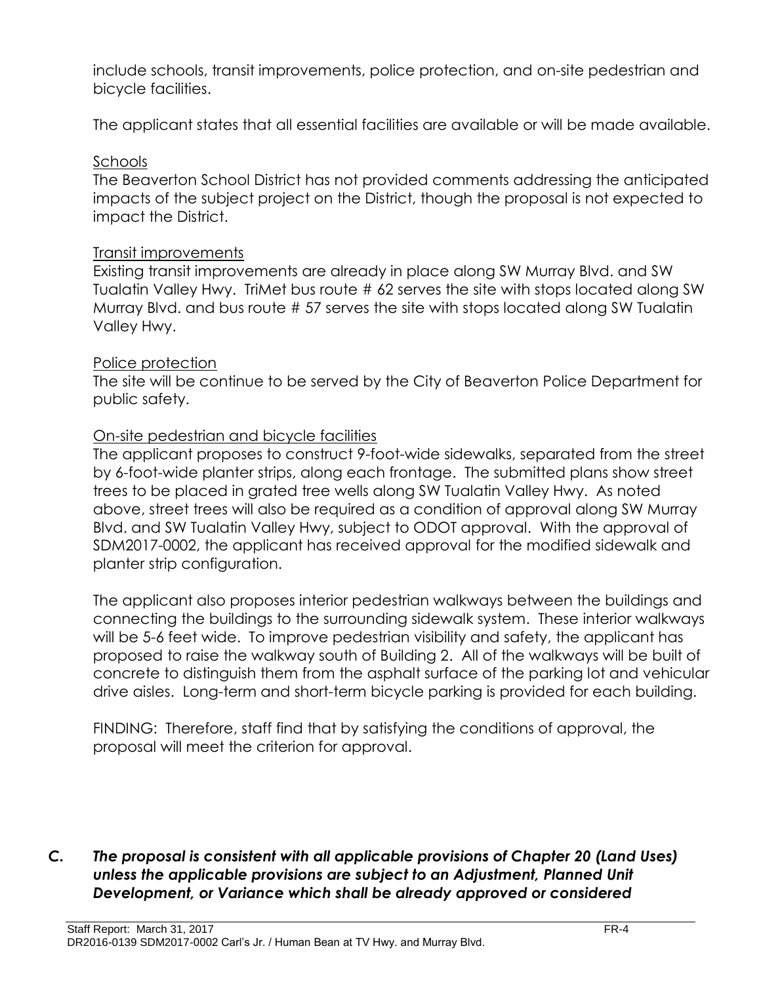include schools, transit improvements, police protection, and on-site pedestrian and bicycle facilities.

The applicant states that all essential facilities are available or will be made available.

### Schools

The Beaverton School District has not provided comments addressing the anticipated impacts of the subject project on the District, though the proposal is not expected to impact the District.

### Transit improvements

Existing transit improvements are already in place along SW Murray Blvd. and SW Tualatin Valley Hwy. TriMet bus route # 62 serves the site with stops located along SW Murray Blvd. and bus route # 57 serves the site with stops located along SW Tualatin Valley Hwy.

### Police protection

The site will be continue to be served by the City of Beaverton Police Department for public safety.

# On-site pedestrian and bicycle facilities

The applicant proposes to construct 9-foot-wide sidewalks, separated from the street by 6-foot-wide planter strips, along each frontage. The submitted plans show street trees to be placed in grated tree wells along SW Tualatin Valley Hwy. As noted above, street trees will also be required as a condition of approval along SW Murray Blvd. and SW Tualatin Valley Hwy, subject to ODOT approval. With the approval of SDM2017-0002, the applicant has received approval for the modified sidewalk and planter strip configuration.

The applicant also proposes interior pedestrian walkways between the buildings and connecting the buildings to the surrounding sidewalk system. These interior walkways will be 5-6 feet wide. To improve pedestrian visibility and safety, the applicant has proposed to raise the walkway south of Building 2. All of the walkways will be built of concrete to distinguish them from the asphalt surface of the parking lot and vehicular drive aisles. Long-term and short-term bicycle parking is provided for each building.

FINDING: Therefore, staff find that by satisfying the conditions of approval, the proposal will meet the criterion for approval.

# *C. The proposal is consistent with all applicable provisions of Chapter 20 (Land Uses) unless the applicable provisions are subject to an Adjustment, Planned Unit Development, or Variance which shall be already approved or considered*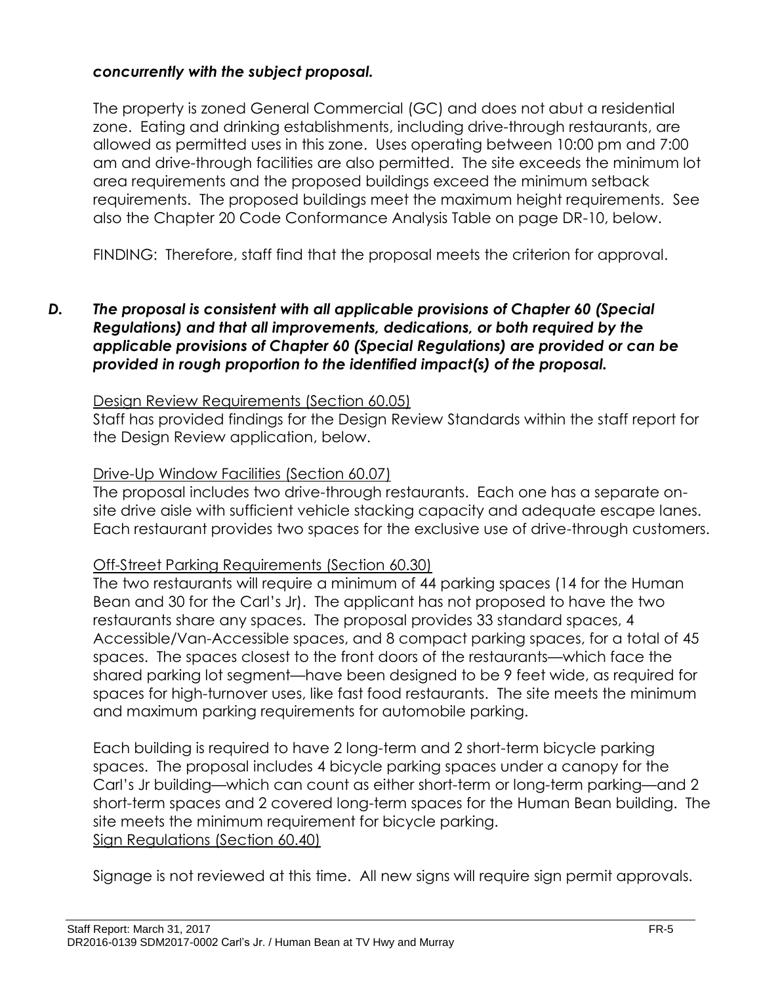# *concurrently with the subject proposal.*

The property is zoned General Commercial (GC) and does not abut a residential zone. Eating and drinking establishments, including drive-through restaurants, are allowed as permitted uses in this zone. Uses operating between 10:00 pm and 7:00 am and drive-through facilities are also permitted. The site exceeds the minimum lot area requirements and the proposed buildings exceed the minimum setback requirements. The proposed buildings meet the maximum height requirements. See also the Chapter 20 Code Conformance Analysis Table on page DR-10, below.

FINDING: Therefore, staff find that the proposal meets the criterion for approval.

# *D. The proposal is consistent with all applicable provisions of Chapter 60 (Special Regulations) and that all improvements, dedications, or both required by the applicable provisions of Chapter 60 (Special Regulations) are provided or can be provided in rough proportion to the identified impact(s) of the proposal.*

# Design Review Requirements (Section 60.05)

Staff has provided findings for the Design Review Standards within the staff report for the Design Review application, below.

# Drive-Up Window Facilities (Section 60.07)

The proposal includes two drive-through restaurants. Each one has a separate onsite drive aisle with sufficient vehicle stacking capacity and adequate escape lanes. Each restaurant provides two spaces for the exclusive use of drive-through customers.

# Off-Street Parking Requirements (Section 60.30)

The two restaurants will require a minimum of 44 parking spaces (14 for the Human Bean and 30 for the Carl's Jr). The applicant has not proposed to have the two restaurants share any spaces. The proposal provides 33 standard spaces, 4 Accessible/Van-Accessible spaces, and 8 compact parking spaces, for a total of 45 spaces. The spaces closest to the front doors of the restaurants—which face the shared parking lot segment—have been designed to be 9 feet wide, as required for spaces for high-turnover uses, like fast food restaurants. The site meets the minimum and maximum parking requirements for automobile parking.

Each building is required to have 2 long-term and 2 short-term bicycle parking spaces. The proposal includes 4 bicycle parking spaces under a canopy for the Carl's Jr building—which can count as either short-term or long-term parking—and 2 short-term spaces and 2 covered long-term spaces for the Human Bean building. The site meets the minimum requirement for bicycle parking. Sign Regulations (Section 60.40)

Signage is not reviewed at this time. All new signs will require sign permit approvals.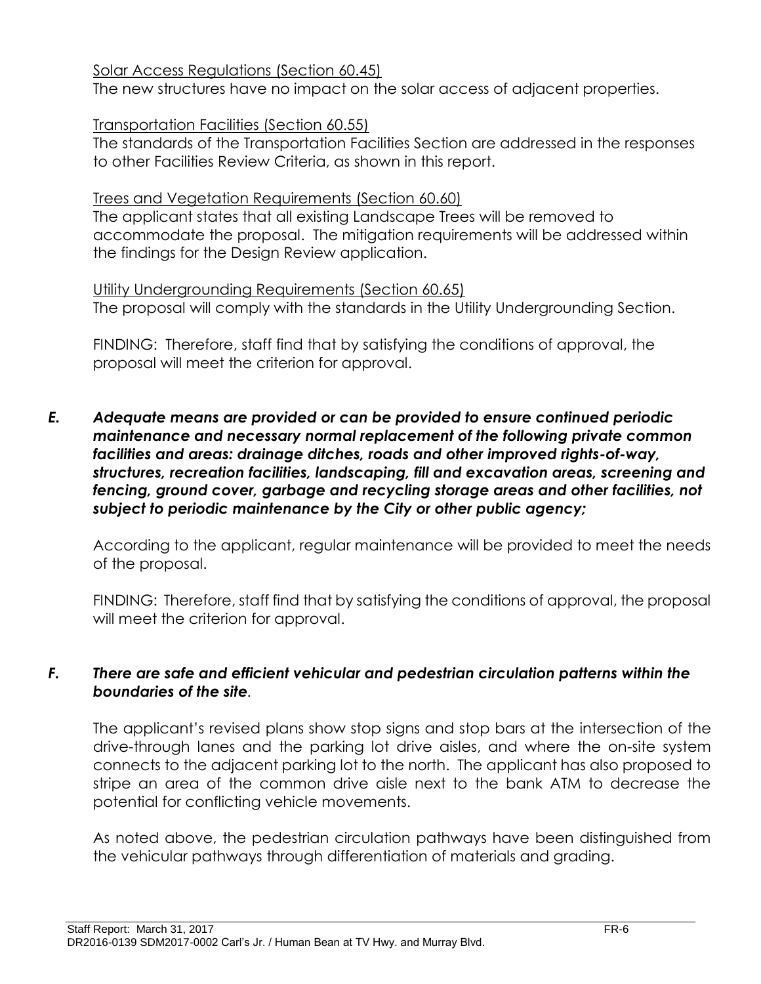Solar Access Regulations (Section 60.45)

The new structures have no impact on the solar access of adjacent properties.

# Transportation Facilities (Section 60.55)

The standards of the Transportation Facilities Section are addressed in the responses to other Facilities Review Criteria, as shown in this report.

Trees and Vegetation Requirements (Section 60.60) The applicant states that all existing Landscape Trees will be removed to accommodate the proposal. The mitigation requirements will be addressed within the findings for the Design Review application.

Utility Undergrounding Requirements (Section 60.65) The proposal will comply with the standards in the Utility Undergrounding Section.

FINDING: Therefore, staff find that by satisfying the conditions of approval, the proposal will meet the criterion for approval.

*E. Adequate means are provided or can be provided to ensure continued periodic maintenance and necessary normal replacement of the following private common facilities and areas: drainage ditches, roads and other improved rights-of-way, structures, recreation facilities, landscaping, fill and excavation areas, screening and fencing, ground cover, garbage and recycling storage areas and other facilities, not subject to periodic maintenance by the City or other public agency;*

According to the applicant, regular maintenance will be provided to meet the needs of the proposal.

FINDING: Therefore, staff find that by satisfying the conditions of approval, the proposal will meet the criterion for approval.

# *F. There are safe and efficient vehicular and pedestrian circulation patterns within the boundaries of the site.*

The applicant's revised plans show stop signs and stop bars at the intersection of the drive-through lanes and the parking lot drive aisles, and where the on-site system connects to the adjacent parking lot to the north. The applicant has also proposed to stripe an area of the common drive aisle next to the bank ATM to decrease the potential for conflicting vehicle movements.

As noted above, the pedestrian circulation pathways have been distinguished from the vehicular pathways through differentiation of materials and grading.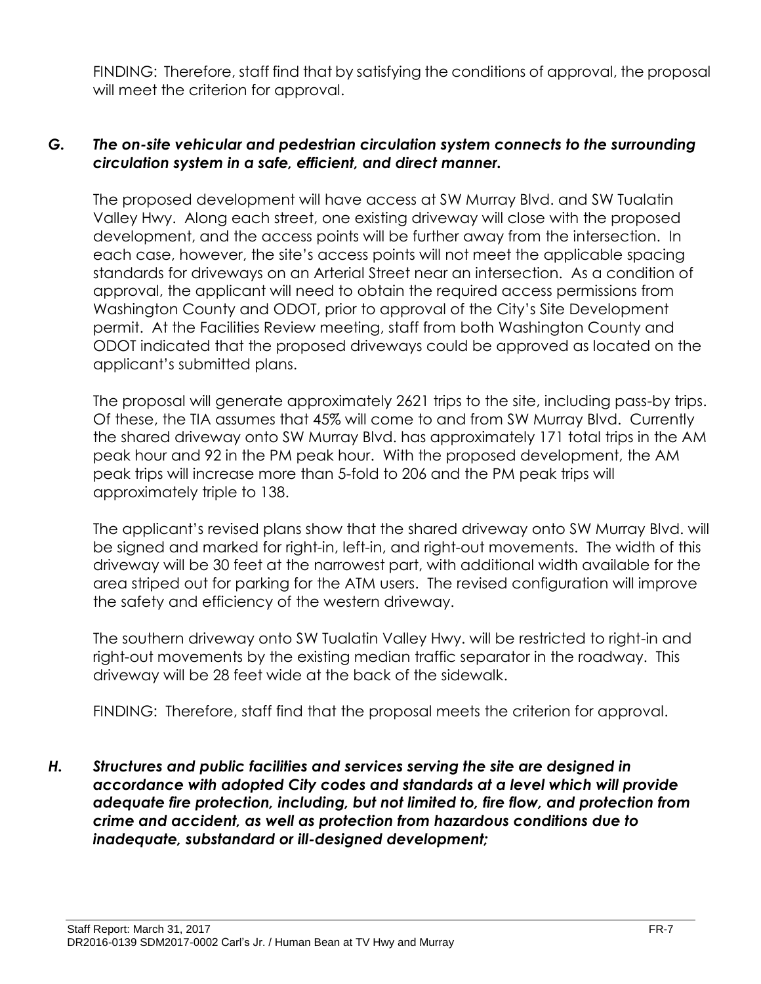FINDING: Therefore, staff find that by satisfying the conditions of approval, the proposal will meet the criterion for approval.

# *G. The on-site vehicular and pedestrian circulation system connects to the surrounding circulation system in a safe, efficient, and direct manner.*

The proposed development will have access at SW Murray Blvd. and SW Tualatin Valley Hwy. Along each street, one existing driveway will close with the proposed development, and the access points will be further away from the intersection. In each case, however, the site's access points will not meet the applicable spacing standards for driveways on an Arterial Street near an intersection. As a condition of approval, the applicant will need to obtain the required access permissions from Washington County and ODOT, prior to approval of the City's Site Development permit. At the Facilities Review meeting, staff from both Washington County and ODOT indicated that the proposed driveways could be approved as located on the applicant's submitted plans.

The proposal will generate approximately 2621 trips to the site, including pass-by trips. Of these, the TIA assumes that 45% will come to and from SW Murray Blvd. Currently the shared driveway onto SW Murray Blvd. has approximately 171 total trips in the AM peak hour and 92 in the PM peak hour. With the proposed development, the AM peak trips will increase more than 5-fold to 206 and the PM peak trips will approximately triple to 138.

The applicant's revised plans show that the shared driveway onto SW Murray Blvd. will be signed and marked for right-in, left-in, and right-out movements. The width of this driveway will be 30 feet at the narrowest part, with additional width available for the area striped out for parking for the ATM users. The revised configuration will improve the safety and efficiency of the western driveway.

The southern driveway onto SW Tualatin Valley Hwy. will be restricted to right-in and right-out movements by the existing median traffic separator in the roadway. This driveway will be 28 feet wide at the back of the sidewalk.

FINDING: Therefore, staff find that the proposal meets the criterion for approval.

*H. Structures and public facilities and services serving the site are designed in accordance with adopted City codes and standards at a level which will provide adequate fire protection, including, but not limited to, fire flow, and protection from crime and accident, as well as protection from hazardous conditions due to inadequate, substandard or ill-designed development;*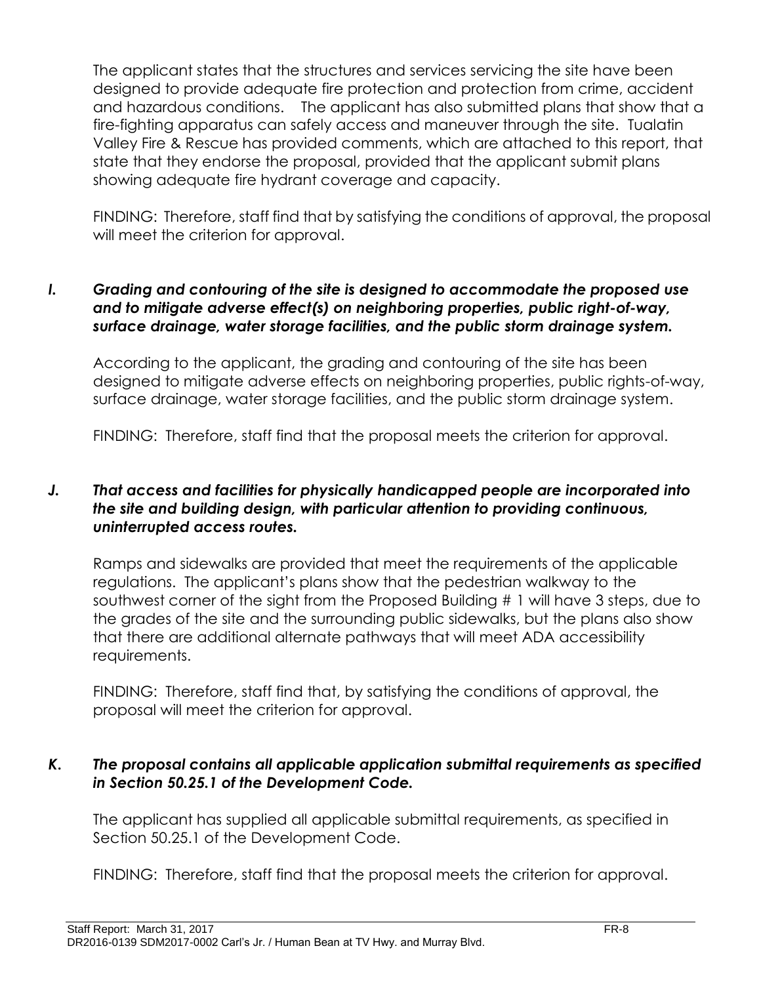The applicant states that the structures and services servicing the site have been designed to provide adequate fire protection and protection from crime, accident and hazardous conditions. The applicant has also submitted plans that show that a fire-fighting apparatus can safely access and maneuver through the site. Tualatin Valley Fire & Rescue has provided comments, which are attached to this report, that state that they endorse the proposal, provided that the applicant submit plans showing adequate fire hydrant coverage and capacity.

FINDING: Therefore, staff find that by satisfying the conditions of approval, the proposal will meet the criterion for approval.

# *I. Grading and contouring of the site is designed to accommodate the proposed use and to mitigate adverse effect(s) on neighboring properties, public right-of-way, surface drainage, water storage facilities, and the public storm drainage system.*

According to the applicant, the grading and contouring of the site has been designed to mitigate adverse effects on neighboring properties, public rights-of-way, surface drainage, water storage facilities, and the public storm drainage system.

FINDING: Therefore, staff find that the proposal meets the criterion for approval.

# *J. That access and facilities for physically handicapped people are incorporated into the site and building design, with particular attention to providing continuous, uninterrupted access routes.*

Ramps and sidewalks are provided that meet the requirements of the applicable regulations. The applicant's plans show that the pedestrian walkway to the southwest corner of the sight from the Proposed Building # 1 will have 3 steps, due to the grades of the site and the surrounding public sidewalks, but the plans also show that there are additional alternate pathways that will meet ADA accessibility requirements.

FINDING: Therefore, staff find that, by satisfying the conditions of approval, the proposal will meet the criterion for approval.

# *K***.** *The proposal contains all applicable application submittal requirements as specified in Section 50.25.1 of the Development Code.*

The applicant has supplied all applicable submittal requirements, as specified in Section 50.25.1 of the Development Code.

FINDING: Therefore, staff find that the proposal meets the criterion for approval.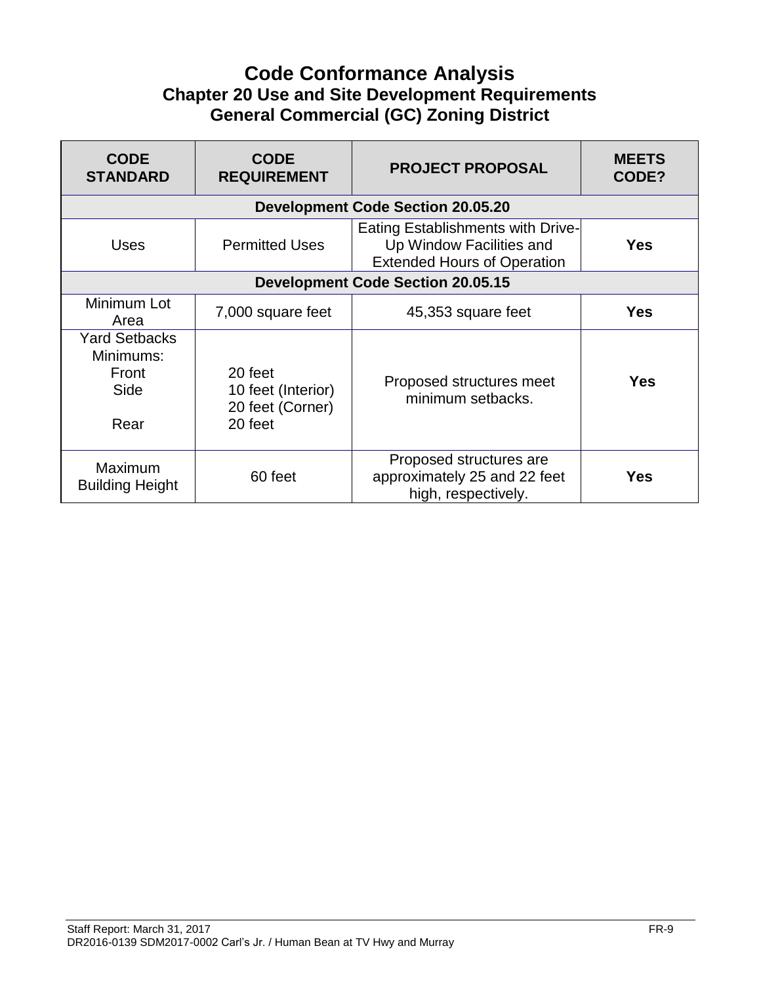# **Code Conformance Analysis Chapter 20 Use and Site Development Requirements General Commercial (GC) Zoning District**

| <b>CODE</b><br><b>STANDARD</b>                             | <b>CODE</b><br><b>REQUIREMENT</b>                            | <b>PROJECT PROPOSAL</b>                                                                                    | <b>MEETS</b><br>CODE? |
|------------------------------------------------------------|--------------------------------------------------------------|------------------------------------------------------------------------------------------------------------|-----------------------|
|                                                            |                                                              | <b>Development Code Section 20.05.20</b>                                                                   |                       |
| <b>Uses</b>                                                | <b>Permitted Uses</b>                                        | <b>Eating Establishments with Drive-</b><br>Up Window Facilities and<br><b>Extended Hours of Operation</b> | Yes                   |
|                                                            |                                                              | <b>Development Code Section 20.05.15</b>                                                                   |                       |
| Minimum Lot<br>Area                                        | 7,000 square feet                                            | 45,353 square feet                                                                                         | Yes                   |
| <b>Yard Setbacks</b><br>Minimums:<br>Front<br>Side<br>Rear | 20 feet<br>10 feet (Interior)<br>20 feet (Corner)<br>20 feet | Proposed structures meet<br>minimum setbacks.                                                              | <b>Yes</b>            |
| Maximum<br><b>Building Height</b>                          | 60 feet                                                      | Proposed structures are<br>approximately 25 and 22 feet<br>high, respectively.                             | Yes                   |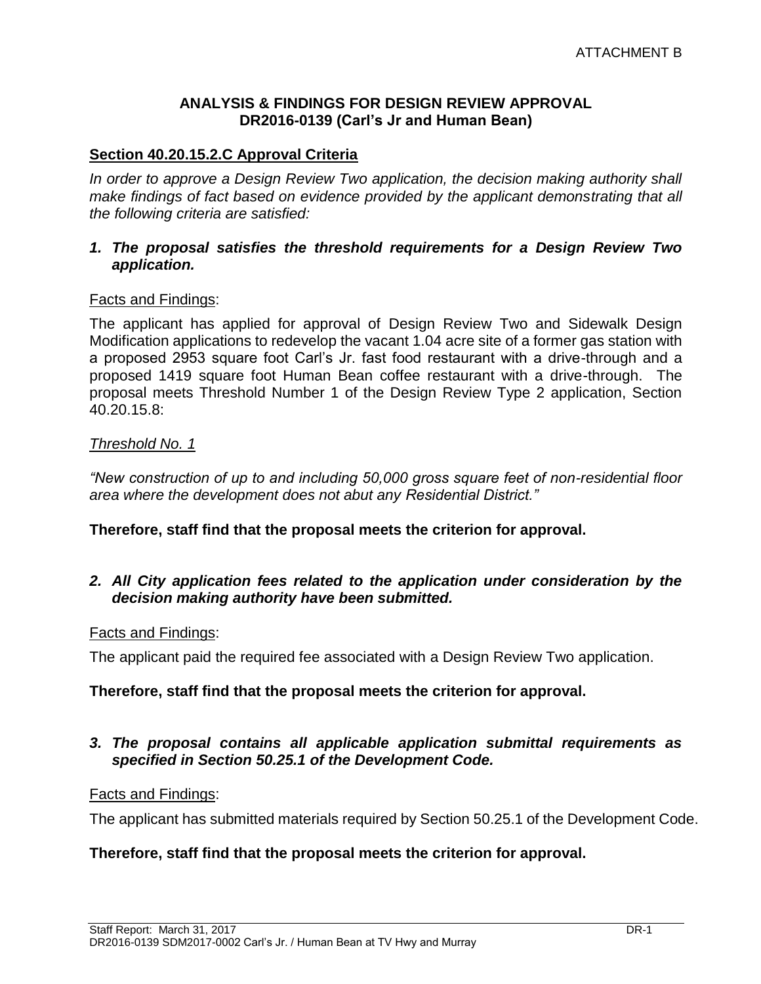### **ANALYSIS & FINDINGS FOR DESIGN REVIEW APPROVAL DR2016-0139 (Carl's Jr and Human Bean)**

### **Section 40.20.15.2.C Approval Criteria**

*In order to approve a Design Review Two application, the decision making authority shall make findings of fact based on evidence provided by the applicant demonstrating that all the following criteria are satisfied:*

#### *1. The proposal satisfies the threshold requirements for a Design Review Two application.*

#### Facts and Findings:

The applicant has applied for approval of Design Review Two and Sidewalk Design Modification applications to redevelop the vacant 1.04 acre site of a former gas station with a proposed 2953 square foot Carl's Jr. fast food restaurant with a drive-through and a proposed 1419 square foot Human Bean coffee restaurant with a drive-through. The proposal meets Threshold Number 1 of the Design Review Type 2 application, Section 40.20.15.8:

#### *Threshold No. 1*

*"New construction of up to and including 50,000 gross square feet of non-residential floor area where the development does not abut any Residential District."*

**Therefore, staff find that the proposal meets the criterion for approval.**

#### *2. All City application fees related to the application under consideration by the decision making authority have been submitted.*

#### Facts and Findings:

The applicant paid the required fee associated with a Design Review Two application.

#### **Therefore, staff find that the proposal meets the criterion for approval.**

#### *3. The proposal contains all applicable application submittal requirements as specified in Section 50.25.1 of the Development Code.*

#### Facts and Findings:

The applicant has submitted materials required by Section 50.25.1 of the Development Code.

#### **Therefore, staff find that the proposal meets the criterion for approval.**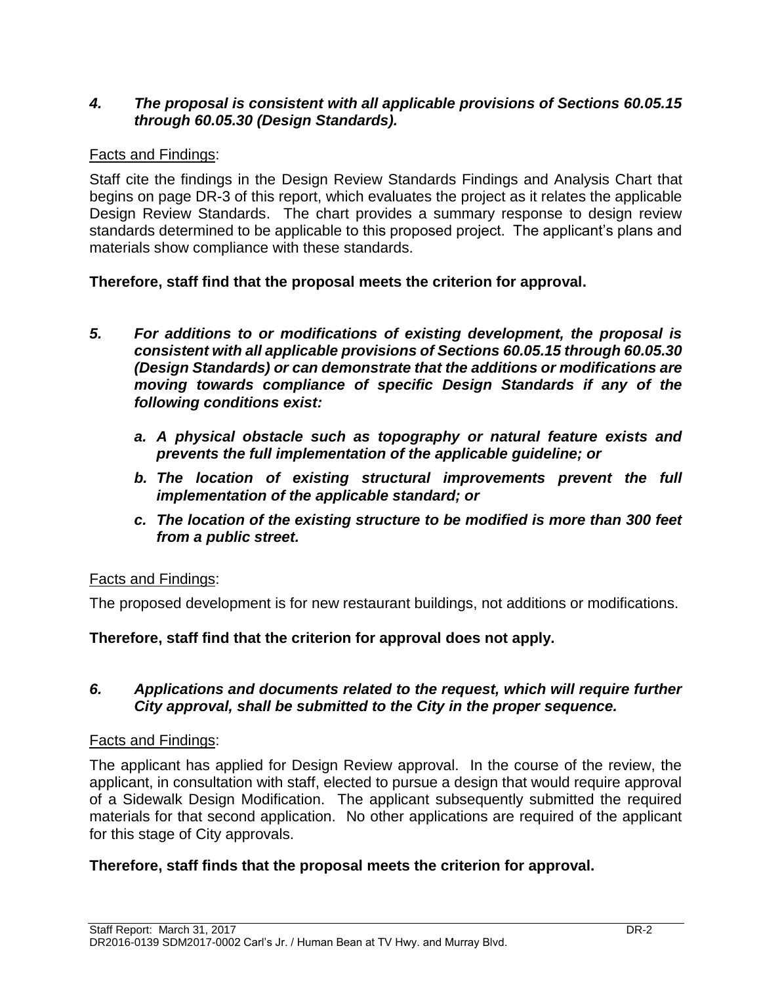# *4. The proposal is consistent with all applicable provisions of Sections 60.05.15 through 60.05.30 (Design Standards).*

### Facts and Findings:

Staff cite the findings in the Design Review Standards Findings and Analysis Chart that begins on page DR-3 of this report, which evaluates the project as it relates the applicable Design Review Standards. The chart provides a summary response to design review standards determined to be applicable to this proposed project. The applicant's plans and materials show compliance with these standards.

# **Therefore, staff find that the proposal meets the criterion for approval.**

- *5. For additions to or modifications of existing development, the proposal is consistent with all applicable provisions of Sections 60.05.15 through 60.05.30 (Design Standards) or can demonstrate that the additions or modifications are moving towards compliance of specific Design Standards if any of the following conditions exist:*
	- *a. A physical obstacle such as topography or natural feature exists and prevents the full implementation of the applicable guideline; or*
	- *b. The location of existing structural improvements prevent the full implementation of the applicable standard; or*
	- *c. The location of the existing structure to be modified is more than 300 feet from a public street.*

#### Facts and Findings:

The proposed development is for new restaurant buildings, not additions or modifications.

#### **Therefore, staff find that the criterion for approval does not apply.**

### *6. Applications and documents related to the request, which will require further City approval, shall be submitted to the City in the proper sequence.*

#### Facts and Findings:

The applicant has applied for Design Review approval. In the course of the review, the applicant, in consultation with staff, elected to pursue a design that would require approval of a Sidewalk Design Modification. The applicant subsequently submitted the required materials for that second application. No other applications are required of the applicant for this stage of City approvals.

# **Therefore, staff finds that the proposal meets the criterion for approval.**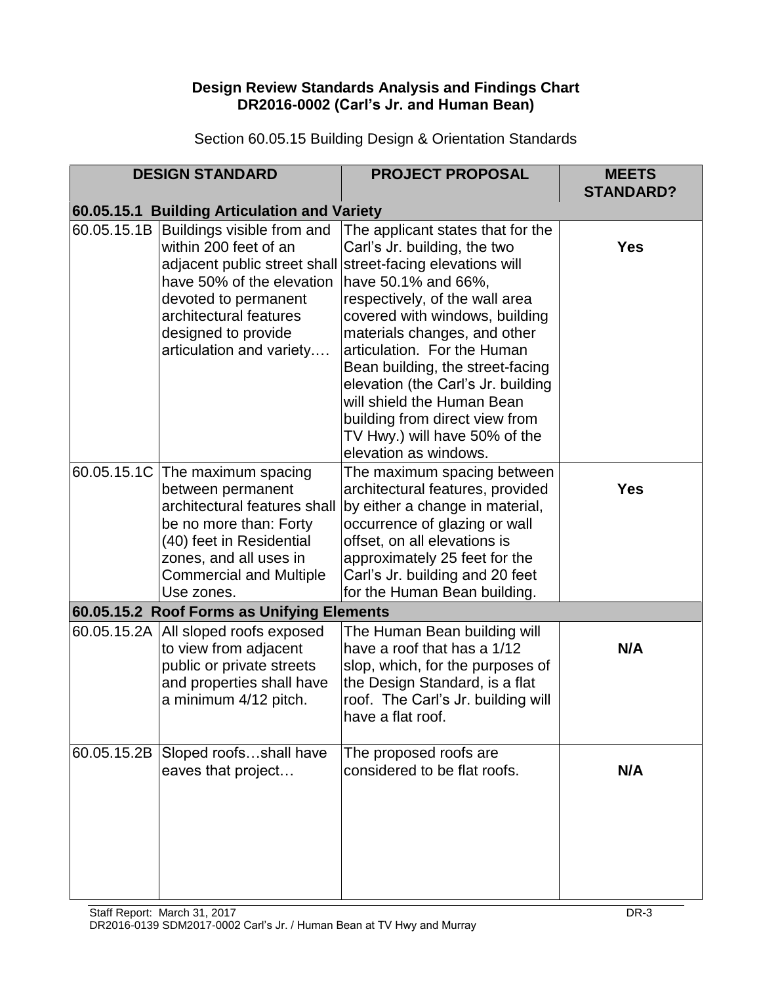#### **Design Review Standards Analysis and Findings Chart DR2016-0002 (Carl's Jr. and Human Bean)**

Section 60.05.15 Building Design & Orientation Standards

|             | <b>DESIGN STANDARD</b>                                                                                                                                                                                                            | <b>PROJECT PROPOSAL</b>                                                                                                                                                                                                                                                                                                                                                                                                                                          | <b>MEETS</b><br><b>STANDARD?</b> |
|-------------|-----------------------------------------------------------------------------------------------------------------------------------------------------------------------------------------------------------------------------------|------------------------------------------------------------------------------------------------------------------------------------------------------------------------------------------------------------------------------------------------------------------------------------------------------------------------------------------------------------------------------------------------------------------------------------------------------------------|----------------------------------|
|             | 60.05.15.1 Building Articulation and Variety                                                                                                                                                                                      |                                                                                                                                                                                                                                                                                                                                                                                                                                                                  |                                  |
|             | 60.05.15.1B Buildings visible from and<br>within 200 feet of an<br>adjacent public street shall<br>have 50% of the elevation<br>devoted to permanent<br>architectural features<br>designed to provide<br>articulation and variety | The applicant states that for the<br>Carl's Jr. building, the two<br>street-facing elevations will<br>have 50.1% and 66%,<br>respectively, of the wall area<br>covered with windows, building<br>materials changes, and other<br>articulation. For the Human<br>Bean building, the street-facing<br>elevation (the Carl's Jr. building<br>will shield the Human Bean<br>building from direct view from<br>TV Hwy.) will have 50% of the<br>elevation as windows. | <b>Yes</b>                       |
|             | 60.05.15.1C The maximum spacing<br>between permanent<br>architectural features shall<br>be no more than: Forty<br>(40) feet in Residential<br>zones, and all uses in<br><b>Commercial and Multiple</b><br>Use zones.              | The maximum spacing between<br>architectural features, provided<br>by either a change in material,<br>occurrence of glazing or wall<br>offset, on all elevations is<br>approximately 25 feet for the<br>Carl's Jr. building and 20 feet<br>for the Human Bean building.                                                                                                                                                                                          | <b>Yes</b>                       |
|             | 60.05.15.2 Roof Forms as Unifying Elements                                                                                                                                                                                        |                                                                                                                                                                                                                                                                                                                                                                                                                                                                  |                                  |
|             | 60.05.15.2A   All sloped roofs exposed<br>to view from adjacent<br>public or private streets<br>and properties shall have<br>a minimum 4/12 pitch.                                                                                | The Human Bean building will<br>have a roof that has a 1/12<br>slop, which, for the purposes of<br>the Design Standard, is a flat<br>roof. The Carl's Jr. building will<br>have a flat roof.                                                                                                                                                                                                                                                                     | N/A                              |
| 60.05.15.2B | Sloped roofsshall have<br>eaves that project                                                                                                                                                                                      | The proposed roofs are<br>considered to be flat roofs.                                                                                                                                                                                                                                                                                                                                                                                                           | N/A                              |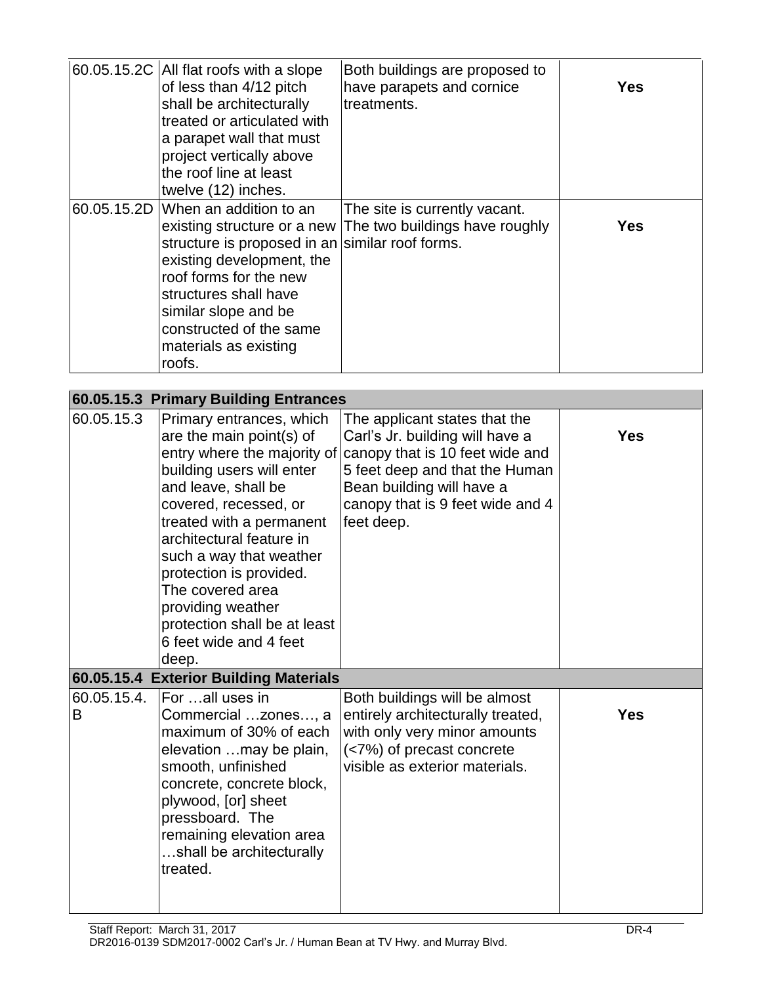| 60.05.15.2C All flat roofs with a slope<br>of less than 4/12 pitch<br>shall be architecturally<br>treated or articulated with<br>a parapet wall that must<br>project vertically above<br>the roof line at least<br>twelve (12) inches.                                                     | Both buildings are proposed to<br>have parapets and cornice<br>treatments. | <b>Yes</b> |
|--------------------------------------------------------------------------------------------------------------------------------------------------------------------------------------------------------------------------------------------------------------------------------------------|----------------------------------------------------------------------------|------------|
| 60.05.15.2D When an addition to an<br>existing structure or a new<br>structure is proposed in an similar roof forms.<br>existing development, the<br>roof forms for the new<br>structures shall have<br>similar slope and be<br>constructed of the same<br>materials as existing<br>roofs. | The site is currently vacant.<br>The two buildings have roughly            | Yes        |

|                  | 60.05.15.3 Primary Building Entrances                                                                                                                                                                                                                                                                                                                                                      |                                                                                                                                                                                                                      |            |
|------------------|--------------------------------------------------------------------------------------------------------------------------------------------------------------------------------------------------------------------------------------------------------------------------------------------------------------------------------------------------------------------------------------------|----------------------------------------------------------------------------------------------------------------------------------------------------------------------------------------------------------------------|------------|
| 60.05.15.3       | Primary entrances, which<br>are the main point(s) of<br>entry where the majority of<br>building users will enter<br>and leave, shall be<br>covered, recessed, or<br>treated with a permanent<br>architectural feature in<br>such a way that weather<br>protection is provided.<br>The covered area<br>providing weather<br>protection shall be at least<br>6 feet wide and 4 feet<br>deep. | The applicant states that the<br>Carl's Jr. building will have a<br>canopy that is 10 feet wide and<br>5 feet deep and that the Human<br>Bean building will have a<br>canopy that is 9 feet wide and 4<br>feet deep. | <b>Yes</b> |
| 60.05.15.4       | <b>Exterior Building Materials</b>                                                                                                                                                                                                                                                                                                                                                         |                                                                                                                                                                                                                      |            |
| 60.05.15.4.<br>B | For all uses in<br>Commercial zones, a<br>maximum of 30% of each<br>elevation  may be plain,<br>smooth, unfinished<br>concrete, concrete block,<br>plywood, [or] sheet<br>pressboard. The<br>remaining elevation area<br>shall be architecturally<br>treated.                                                                                                                              | Both buildings will be almost<br>entirely architecturally treated,<br>with only very minor amounts<br>(<7%) of precast concrete<br>visible as exterior materials.                                                    | <b>Yes</b> |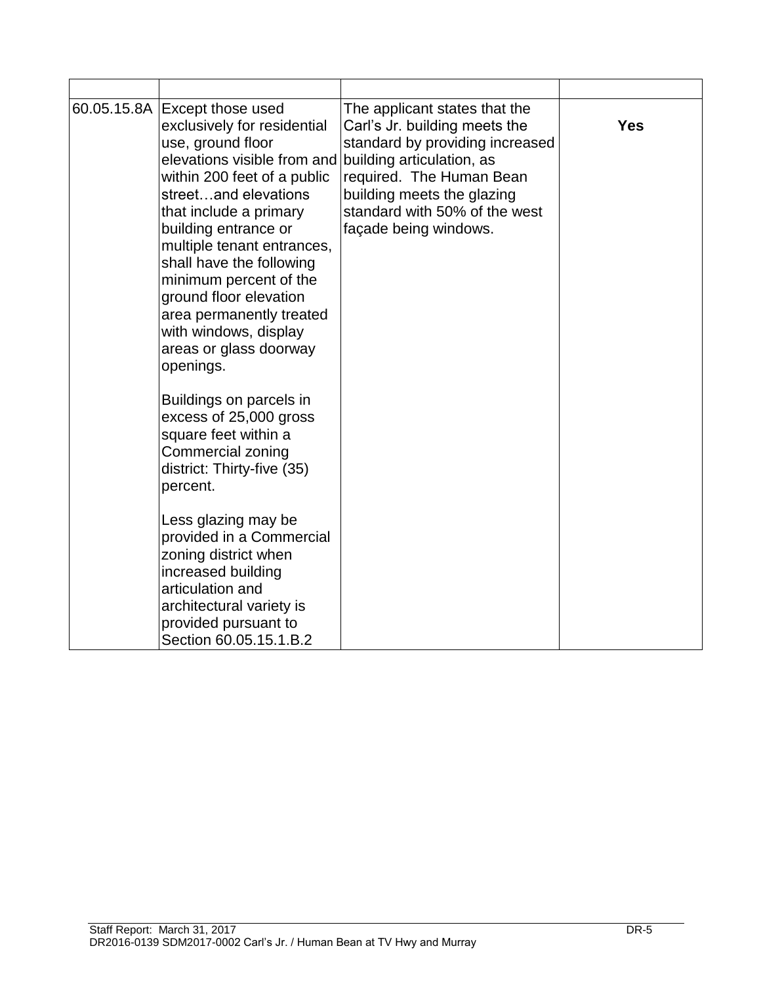| 60.05.15.8A Except those used<br>exclusively for residential<br>use, ground floor<br>elevations visible from and<br>within 200 feet of a public<br>streetand elevations<br>that include a primary<br>building entrance or<br>multiple tenant entrances,<br>shall have the following<br>minimum percent of the<br>ground floor elevation<br>area permanently treated<br>with windows, display<br>areas or glass doorway<br>openings.<br>Buildings on parcels in<br>excess of 25,000 gross<br>square feet within a<br>Commercial zoning<br>district: Thirty-five (35)<br>percent.<br>Less glazing may be<br>provided in a Commercial<br>zoning district when<br>increased building<br>articulation and<br>architectural variety is<br>provided pursuant to<br>Section 60.05.15.1.B.2 | The applicant states that the<br>Carl's Jr. building meets the<br>standard by providing increased<br>building articulation, as<br>required. The Human Bean<br>building meets the glazing<br>standard with 50% of the west<br>façade being windows. | <b>Yes</b> |
|------------------------------------------------------------------------------------------------------------------------------------------------------------------------------------------------------------------------------------------------------------------------------------------------------------------------------------------------------------------------------------------------------------------------------------------------------------------------------------------------------------------------------------------------------------------------------------------------------------------------------------------------------------------------------------------------------------------------------------------------------------------------------------|----------------------------------------------------------------------------------------------------------------------------------------------------------------------------------------------------------------------------------------------------|------------|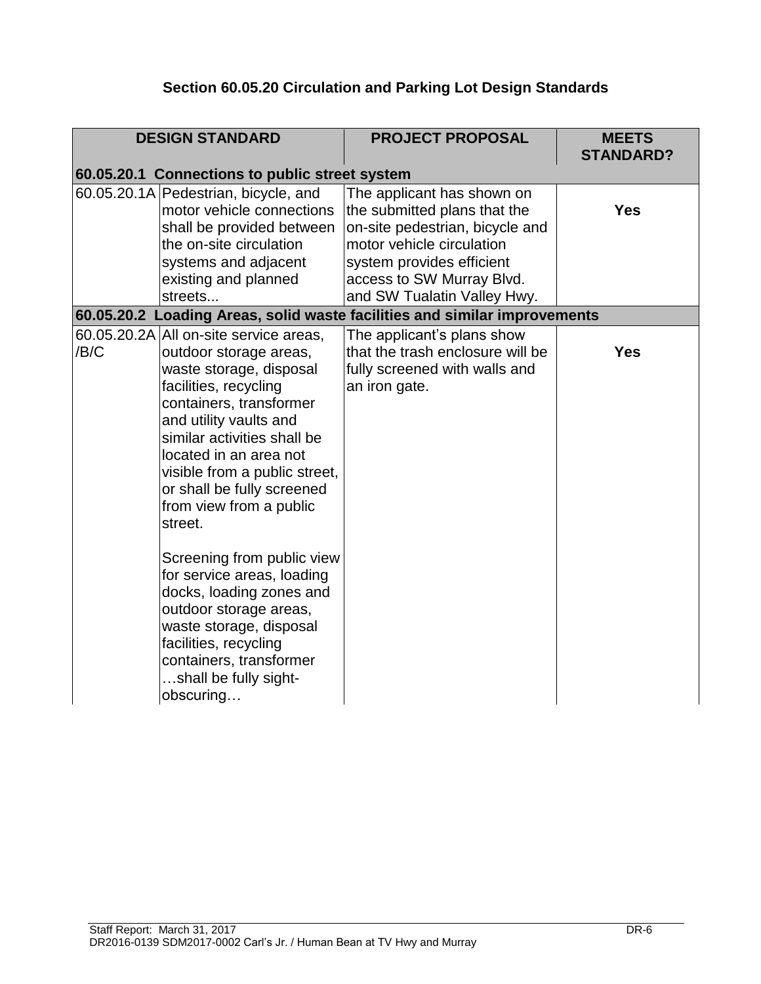# **Section 60.05.20 Circulation and Parking Lot Design Standards**

|      | <b>DESIGN STANDARD</b>                                                                                                                                                                                                                                                                                                                  | <b>PROJECT PROPOSAL</b>                                                                                                                                                                                             | <b>MEETS</b><br><b>STANDARD?</b> |
|------|-----------------------------------------------------------------------------------------------------------------------------------------------------------------------------------------------------------------------------------------------------------------------------------------------------------------------------------------|---------------------------------------------------------------------------------------------------------------------------------------------------------------------------------------------------------------------|----------------------------------|
|      | 60.05.20.1 Connections to public street system                                                                                                                                                                                                                                                                                          |                                                                                                                                                                                                                     |                                  |
|      | 60.05.20.1A Pedestrian, bicycle, and<br>motor vehicle connections<br>shall be provided between<br>the on-site circulation<br>systems and adjacent<br>existing and planned<br>streets                                                                                                                                                    | The applicant has shown on<br>the submitted plans that the<br>on-site pedestrian, bicycle and<br>motor vehicle circulation<br>system provides efficient<br>access to SW Murray Blvd.<br>and SW Tualatin Valley Hwy. | <b>Yes</b>                       |
|      |                                                                                                                                                                                                                                                                                                                                         | 60.05.20.2 Loading Areas, solid waste facilities and similar improvements                                                                                                                                           |                                  |
| /B/C | 60.05.20.2A All on-site service areas,<br>outdoor storage areas,<br>waste storage, disposal<br>facilities, recycling<br>containers, transformer<br>and utility vaults and<br>similar activities shall be<br>located in an area not<br>visible from a public street,<br>or shall be fully screened<br>from view from a public<br>street. | The applicant's plans show<br>that the trash enclosure will be<br>fully screened with walls and<br>an iron gate.                                                                                                    | <b>Yes</b>                       |
|      | Screening from public view<br>for service areas, loading<br>docks, loading zones and<br>outdoor storage areas,<br>waste storage, disposal<br>facilities, recycling<br>containers, transformer<br>shall be fully sight-<br>obscuring                                                                                                     |                                                                                                                                                                                                                     |                                  |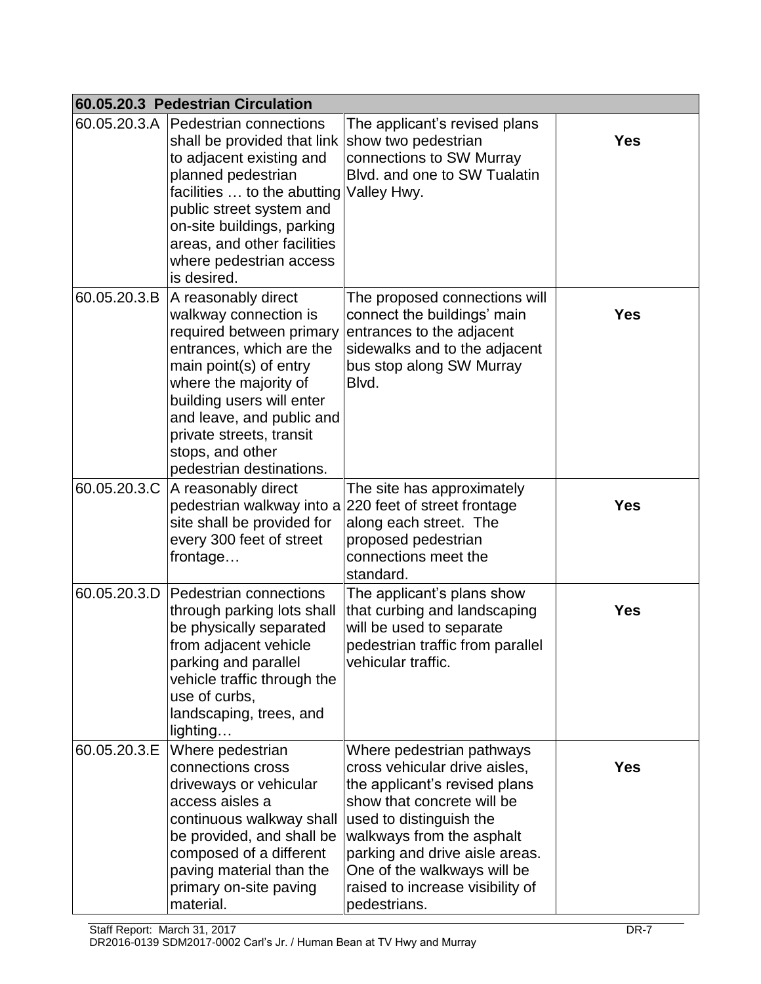|              | 60.05.20.3 Pedestrian Circulation                                                                                                                                                                                                                                                             |                                                                                                                                                                                                                                                                                                        |            |
|--------------|-----------------------------------------------------------------------------------------------------------------------------------------------------------------------------------------------------------------------------------------------------------------------------------------------|--------------------------------------------------------------------------------------------------------------------------------------------------------------------------------------------------------------------------------------------------------------------------------------------------------|------------|
| 60.05.20.3.A | Pedestrian connections<br>shall be provided that link<br>to adjacent existing and<br>planned pedestrian<br>facilities  to the abutting Valley Hwy.<br>public street system and<br>on-site buildings, parking<br>areas, and other facilities<br>where pedestrian access<br>is desired.         | The applicant's revised plans<br>show two pedestrian<br>connections to SW Murray<br>Blvd. and one to SW Tualatin                                                                                                                                                                                       | <b>Yes</b> |
| 60.05.20.3.B | A reasonably direct<br>walkway connection is<br>required between primary<br>entrances, which are the<br>main point(s) of entry<br>where the majority of<br>building users will enter<br>and leave, and public and<br>private streets, transit<br>stops, and other<br>pedestrian destinations. | The proposed connections will<br>connect the buildings' main<br>entrances to the adjacent<br>sidewalks and to the adjacent<br>bus stop along SW Murray<br>Blvd.                                                                                                                                        | <b>Yes</b> |
| 60.05.20.3.C | A reasonably direct<br>site shall be provided for<br>every 300 feet of street<br>frontage                                                                                                                                                                                                     | The site has approximately<br>pedestrian walkway into a $220$ feet of street frontage<br>along each street. The<br>proposed pedestrian<br>connections meet the<br>standard.                                                                                                                            | <b>Yes</b> |
| 60.05.20.3.D | Pedestrian connections<br>through parking lots shall<br>be physically separated<br>from adjacent vehicle<br>parking and parallel<br>vehicle traffic through the<br>use of curbs,<br>landscaping, trees, and<br>lighting                                                                       | The applicant's plans show<br>that curbing and landscaping<br>will be used to separate<br>pedestrian traffic from parallel<br>vehicular traffic.                                                                                                                                                       | <b>Yes</b> |
| 60.05.20.3.E | Where pedestrian<br>connections cross<br>driveways or vehicular<br>access aisles a<br>continuous walkway shall<br>be provided, and shall be<br>composed of a different<br>paving material than the<br>primary on-site paving<br>material.                                                     | Where pedestrian pathways<br>cross vehicular drive aisles,<br>the applicant's revised plans<br>show that concrete will be<br>used to distinguish the<br>walkways from the asphalt<br>parking and drive aisle areas.<br>One of the walkways will be<br>raised to increase visibility of<br>pedestrians. | <b>Yes</b> |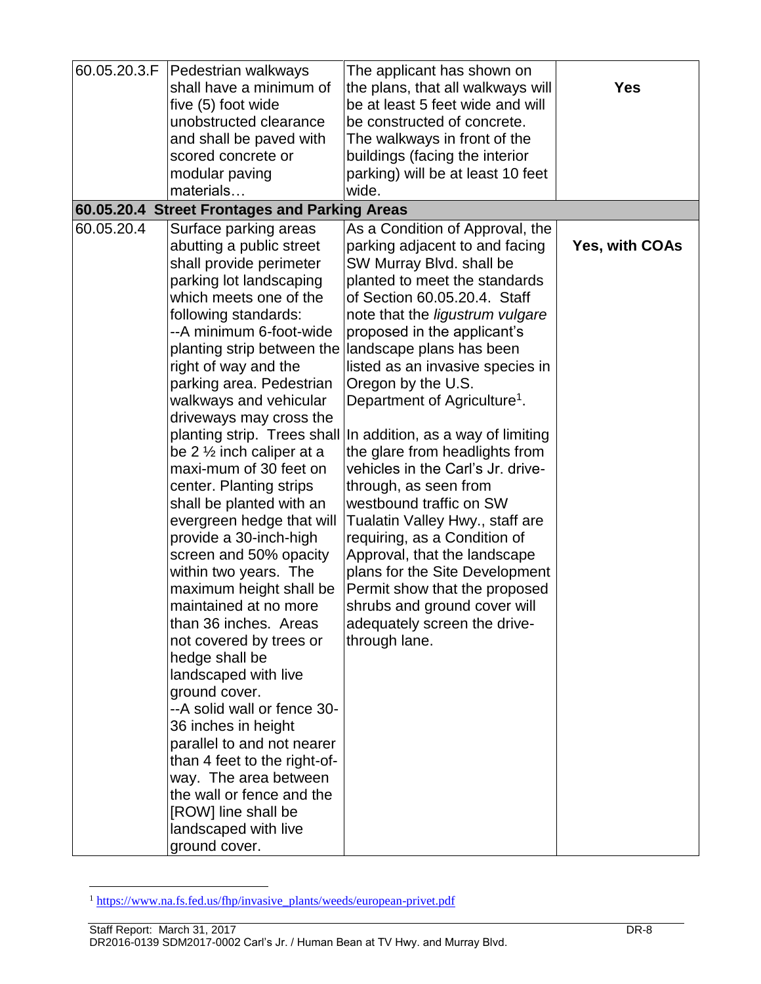|            | 60.05.20.3.F   Pedestrian walkways                         | The applicant has shown on                                    |                       |
|------------|------------------------------------------------------------|---------------------------------------------------------------|-----------------------|
|            | shall have a minimum of                                    | the plans, that all walkways will                             | <b>Yes</b>            |
|            | five (5) foot wide                                         | be at least 5 feet wide and will                              |                       |
|            | unobstructed clearance                                     | be constructed of concrete.                                   |                       |
|            | and shall be paved with                                    | The walkways in front of the                                  |                       |
|            | scored concrete or                                         | buildings (facing the interior                                |                       |
|            | modular paving                                             | parking) will be at least 10 feet                             |                       |
|            | materials                                                  | wide.                                                         |                       |
|            | 60.05.20.4 Street Frontages and Parking Areas              |                                                               |                       |
| 60.05.20.4 | Surface parking areas                                      | As a Condition of Approval, the                               |                       |
|            | abutting a public street                                   | parking adjacent to and facing                                | <b>Yes, with COAs</b> |
|            | shall provide perimeter                                    | SW Murray Blvd. shall be                                      |                       |
|            | parking lot landscaping                                    | planted to meet the standards                                 |                       |
|            | which meets one of the                                     | of Section 60.05.20.4. Staff                                  |                       |
|            | following standards:                                       | note that the ligustrum vulgare                               |                       |
|            | --A minimum 6-foot-wide                                    | proposed in the applicant's                                   |                       |
|            | planting strip between the                                 | landscape plans has been                                      |                       |
|            | right of way and the                                       | listed as an invasive species in                              |                       |
|            | parking area. Pedestrian                                   | Oregon by the U.S.                                            |                       |
|            | walkways and vehicular                                     | Department of Agriculture <sup>1</sup> .                      |                       |
|            | driveways may cross the                                    |                                                               |                       |
|            |                                                            | planting strip. Trees shall In addition, as a way of limiting |                       |
|            | be 2 $\frac{1}{2}$ inch caliper at a                       | the glare from headlights from                                |                       |
|            | maxi-mum of 30 feet on                                     | vehicles in the Carl's Jr. drive-                             |                       |
|            | center. Planting strips                                    | through, as seen from                                         |                       |
|            | shall be planted with an                                   | westbound traffic on SW                                       |                       |
|            | evergreen hedge that will                                  | Tualatin Valley Hwy., staff are                               |                       |
|            | provide a 30-inch-high                                     | requiring, as a Condition of                                  |                       |
|            | screen and 50% opacity                                     | Approval, that the landscape                                  |                       |
|            | within two years. The                                      | plans for the Site Development                                |                       |
|            | maximum height shall be                                    | Permit show that the proposed                                 |                       |
|            | maintained at no more                                      | shrubs and ground cover will                                  |                       |
|            | than 36 inches. Areas                                      |                                                               |                       |
|            | not covered by trees or                                    | adequately screen the drive-                                  |                       |
|            | hedge shall be                                             | through lane.                                                 |                       |
|            | landscaped with live                                       |                                                               |                       |
|            | ground cover.                                              |                                                               |                       |
|            | --A solid wall or fence 30-                                |                                                               |                       |
|            | 36 inches in height                                        |                                                               |                       |
|            |                                                            |                                                               |                       |
|            | parallel to and not nearer<br>than 4 feet to the right-of- |                                                               |                       |
|            |                                                            |                                                               |                       |
|            | way. The area between<br>the wall or fence and the         |                                                               |                       |
|            |                                                            |                                                               |                       |
|            | [ROW] line shall be                                        |                                                               |                       |
|            | landscaped with live                                       |                                                               |                       |
|            | ground cover.                                              |                                                               |                       |

<sup>&</sup>lt;sup>1</sup> [https://www.na.fs.fed.us/fhp/invasive\\_plants/weeds/european-privet.pdf](https://www.na.fs.fed.us/fhp/invasive_plants/weeds/european-privet.pdf)

 $\overline{a}$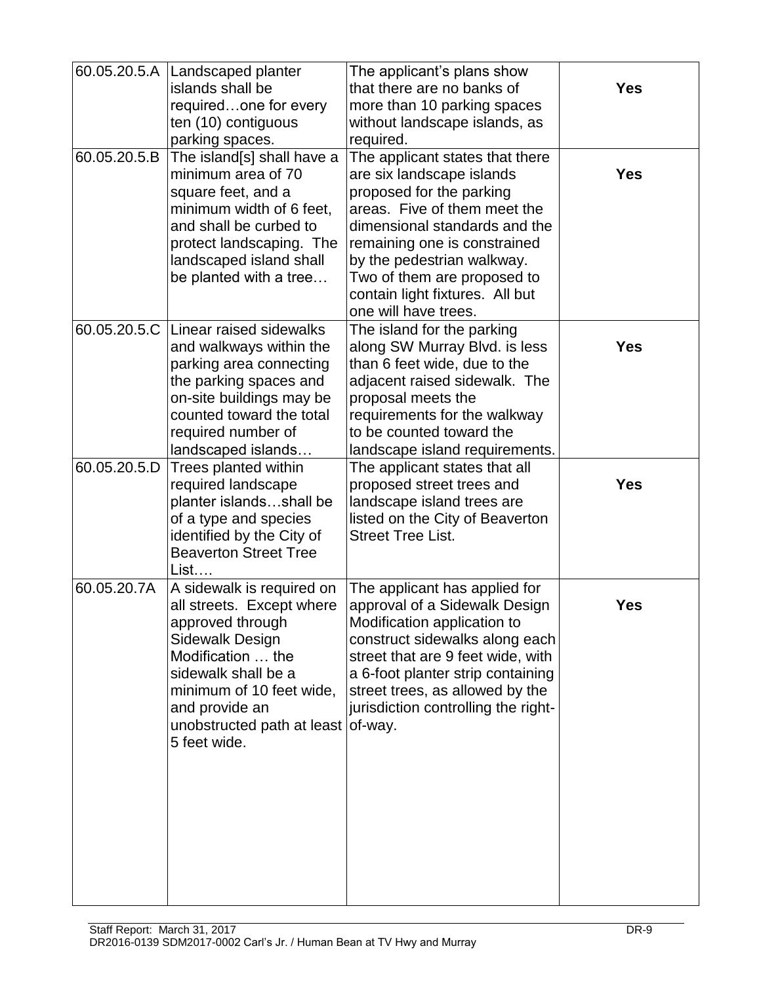|              | 60.05.20.5.A Landscaped planter<br>islands shall be<br>requiredone for every<br>ten (10) contiguous<br>parking spaces.                                                                                                                               | The applicant's plans show<br>that there are no banks of<br>more than 10 parking spaces<br>without landscape islands, as<br>required.                                                                                                                                                                             | <b>Yes</b> |
|--------------|------------------------------------------------------------------------------------------------------------------------------------------------------------------------------------------------------------------------------------------------------|-------------------------------------------------------------------------------------------------------------------------------------------------------------------------------------------------------------------------------------------------------------------------------------------------------------------|------------|
| 60.05.20.5.B | The island[s] shall have a<br>minimum area of 70<br>square feet, and a<br>minimum width of 6 feet,<br>and shall be curbed to<br>protect landscaping. The<br>landscaped island shall<br>be planted with a tree                                        | The applicant states that there<br>are six landscape islands<br>proposed for the parking<br>areas. Five of them meet the<br>dimensional standards and the<br>remaining one is constrained<br>by the pedestrian walkway.<br>Two of them are proposed to<br>contain light fixtures. All but<br>one will have trees. | <b>Yes</b> |
| 60.05.20.5.C | Linear raised sidewalks<br>and walkways within the<br>parking area connecting<br>the parking spaces and<br>on-site buildings may be<br>counted toward the total<br>required number of<br>landscaped islands                                          | The island for the parking<br>along SW Murray Blvd. is less<br>than 6 feet wide, due to the<br>adjacent raised sidewalk. The<br>proposal meets the<br>requirements for the walkway<br>to be counted toward the<br>landscape island requirements.                                                                  | <b>Yes</b> |
| 60.05.20.5.D | Trees planted within<br>required landscape<br>planter islandsshall be<br>of a type and species<br>identified by the City of<br><b>Beaverton Street Tree</b><br>List                                                                                  | The applicant states that all<br>proposed street trees and<br>landscape island trees are<br>listed on the City of Beaverton<br><b>Street Tree List.</b>                                                                                                                                                           | <b>Yes</b> |
| 60.05.20.7A  | A sidewalk is required on<br>all streets. Except where<br>approved through<br><b>Sidewalk Design</b><br>Modification  the<br>sidewalk shall be a<br>minimum of 10 feet wide,<br>and provide an<br>unobstructed path at least of-way.<br>5 feet wide. | The applicant has applied for<br>approval of a Sidewalk Design<br>Modification application to<br>construct sidewalks along each<br>street that are 9 feet wide, with<br>a 6-foot planter strip containing<br>street trees, as allowed by the<br>jurisdiction controlling the right-                               | <b>Yes</b> |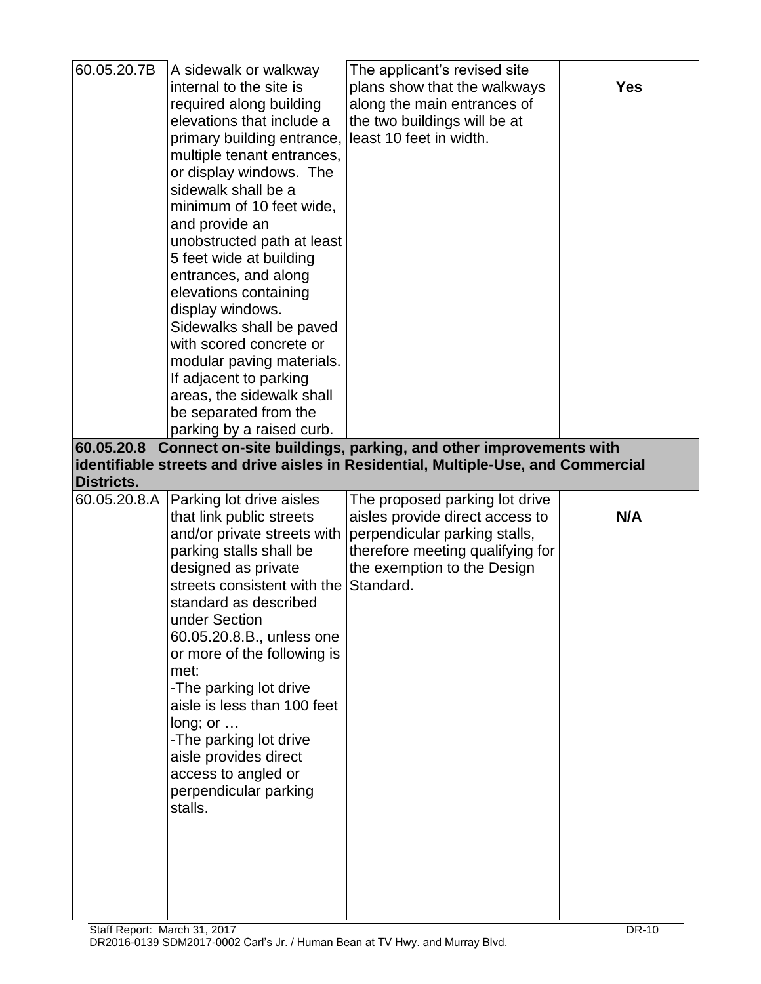| 60.05.20.7B       | A sidewalk or walkway<br>internal to the site is<br>required along building<br>elevations that include a<br>primary building entrance, least 10 feet in width.<br>multiple tenant entrances,<br>or display windows. The<br>sidewalk shall be a<br>minimum of 10 feet wide,<br>and provide an<br>unobstructed path at least<br>5 feet wide at building<br>entrances, and along<br>elevations containing<br>display windows.<br>Sidewalks shall be paved<br>with scored concrete or<br>modular paving materials.<br>If adjacent to parking<br>areas, the sidewalk shall<br>be separated from the<br>parking by a raised curb. | The applicant's revised site<br>plans show that the walkways<br>along the main entrances of<br>the two buildings will be at                                                        | <b>Yes</b> |
|-------------------|-----------------------------------------------------------------------------------------------------------------------------------------------------------------------------------------------------------------------------------------------------------------------------------------------------------------------------------------------------------------------------------------------------------------------------------------------------------------------------------------------------------------------------------------------------------------------------------------------------------------------------|------------------------------------------------------------------------------------------------------------------------------------------------------------------------------------|------------|
| 60.05.20.8        |                                                                                                                                                                                                                                                                                                                                                                                                                                                                                                                                                                                                                             | Connect on-site buildings, parking, and other improvements with                                                                                                                    |            |
| <b>Districts.</b> |                                                                                                                                                                                                                                                                                                                                                                                                                                                                                                                                                                                                                             | identifiable streets and drive aisles in Residential, Multiple-Use, and Commercial                                                                                                 |            |
| 60.05.20.8.A      | Parking lot drive aisles<br>that link public streets<br>and/or private streets with<br>parking stalls shall be<br>designed as private<br>streets consistent with the<br>standard as described<br>under Section<br>60.05.20.8.B., unless one<br>or more of the following is<br>met:<br>-The parking lot drive<br>aisle is less than 100 feet<br>long; or $\dots$<br>-The parking lot drive<br>aisle provides direct<br>access to angled or<br>perpendicular parking<br>stalls.                                                                                                                                               | The proposed parking lot drive<br>aisles provide direct access to<br>perpendicular parking stalls,<br>therefore meeting qualifying for<br>the exemption to the Design<br>Standard. | N/A        |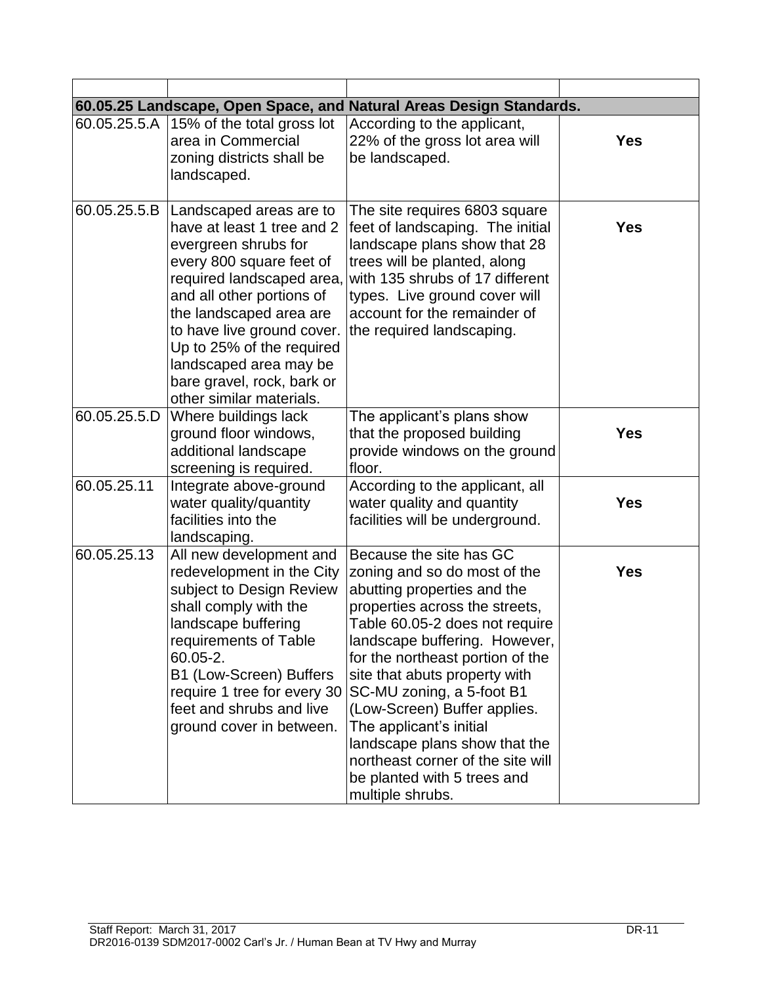|              |                                                                                                                                                                                                                                                                                                                  | 60.05.25 Landscape, Open Space, and Natural Areas Design Standards.                                                                                                                                                                                                                                                                                                                                                                                                               |            |
|--------------|------------------------------------------------------------------------------------------------------------------------------------------------------------------------------------------------------------------------------------------------------------------------------------------------------------------|-----------------------------------------------------------------------------------------------------------------------------------------------------------------------------------------------------------------------------------------------------------------------------------------------------------------------------------------------------------------------------------------------------------------------------------------------------------------------------------|------------|
| 60.05.25.5.A | 15% of the total gross lot<br>area in Commercial<br>zoning districts shall be<br>landscaped.                                                                                                                                                                                                                     | According to the applicant,<br>22% of the gross lot area will<br>be landscaped.                                                                                                                                                                                                                                                                                                                                                                                                   | <b>Yes</b> |
| 60.05.25.5.B | Landscaped areas are to<br>have at least 1 tree and 2<br>evergreen shrubs for<br>every 800 square feet of<br>and all other portions of<br>the landscaped area are<br>to have live ground cover.<br>Up to 25% of the required<br>landscaped area may be<br>bare gravel, rock, bark or<br>other similar materials. | The site requires 6803 square<br>feet of landscaping. The initial<br>landscape plans show that 28<br>trees will be planted, along<br>required landscaped area, with 135 shrubs of 17 different<br>types. Live ground cover will<br>account for the remainder of<br>the required landscaping.                                                                                                                                                                                      | <b>Yes</b> |
| 60.05.25.5.D | Where buildings lack<br>ground floor windows,<br>additional landscape<br>screening is required.                                                                                                                                                                                                                  | The applicant's plans show<br>that the proposed building<br>provide windows on the ground<br>floor.                                                                                                                                                                                                                                                                                                                                                                               | <b>Yes</b> |
| 60.05.25.11  | Integrate above-ground<br>water quality/quantity<br>facilities into the<br>landscaping.                                                                                                                                                                                                                          | According to the applicant, all<br>water quality and quantity<br>facilities will be underground.                                                                                                                                                                                                                                                                                                                                                                                  | <b>Yes</b> |
| 60.05.25.13  | All new development and<br>redevelopment in the City<br>subject to Design Review<br>shall comply with the<br>landscape buffering<br>requirements of Table<br>60.05-2.<br>B1 (Low-Screen) Buffers<br>require 1 tree for every 30<br>feet and shrubs and live<br>ground cover in between.                          | Because the site has GC<br>zoning and so do most of the<br>abutting properties and the<br>properties across the streets,<br>Table 60.05-2 does not require<br>landscape buffering. However,<br>for the northeast portion of the<br>site that abuts property with<br>SC-MU zoning, a 5-foot B1<br>(Low-Screen) Buffer applies.<br>The applicant's initial<br>landscape plans show that the<br>northeast corner of the site will<br>be planted with 5 trees and<br>multiple shrubs. | <b>Yes</b> |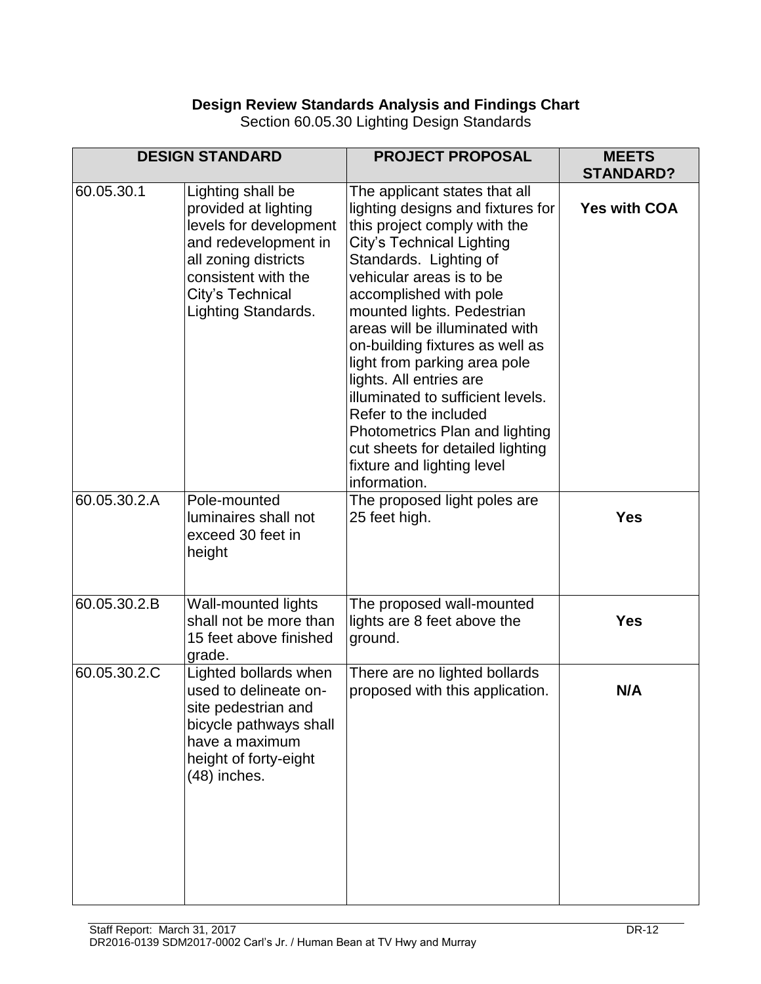# **Design Review Standards Analysis and Findings Chart**

Section 60.05.30 Lighting Design Standards

|              | <b>DESIGN STANDARD</b>                                                                                                                                                                | <b>PROJECT PROPOSAL</b>                                                                                                                                                                                                                                                                                                                                                                                                                                                                                                                                                | <b>MEETS</b><br><b>STANDARD?</b> |
|--------------|---------------------------------------------------------------------------------------------------------------------------------------------------------------------------------------|------------------------------------------------------------------------------------------------------------------------------------------------------------------------------------------------------------------------------------------------------------------------------------------------------------------------------------------------------------------------------------------------------------------------------------------------------------------------------------------------------------------------------------------------------------------------|----------------------------------|
| 60.05.30.1   | Lighting shall be<br>provided at lighting<br>levels for development<br>and redevelopment in<br>all zoning districts<br>consistent with the<br>City's Technical<br>Lighting Standards. | The applicant states that all<br>lighting designs and fixtures for<br>this project comply with the<br><b>City's Technical Lighting</b><br>Standards. Lighting of<br>vehicular areas is to be<br>accomplished with pole<br>mounted lights. Pedestrian<br>areas will be illuminated with<br>on-building fixtures as well as<br>light from parking area pole<br>lights. All entries are<br>illuminated to sufficient levels.<br>Refer to the included<br>Photometrics Plan and lighting<br>cut sheets for detailed lighting<br>fixture and lighting level<br>information. | <b>Yes with COA</b>              |
| 60.05.30.2.A | Pole-mounted<br>luminaires shall not<br>exceed 30 feet in<br>height                                                                                                                   | The proposed light poles are<br>25 feet high.                                                                                                                                                                                                                                                                                                                                                                                                                                                                                                                          | <b>Yes</b>                       |
| 60.05.30.2.B | Wall-mounted lights<br>shall not be more than<br>15 feet above finished<br>grade.                                                                                                     | The proposed wall-mounted<br>lights are 8 feet above the<br>ground.                                                                                                                                                                                                                                                                                                                                                                                                                                                                                                    | <b>Yes</b>                       |
| 60.05.30.2.C | Lighted bollards when<br>used to delineate on-<br>site pedestrian and<br>bicycle pathways shall<br>have a maximum<br>height of forty-eight<br>$(48)$ inches.                          | There are no lighted bollards<br>proposed with this application.                                                                                                                                                                                                                                                                                                                                                                                                                                                                                                       | N/A                              |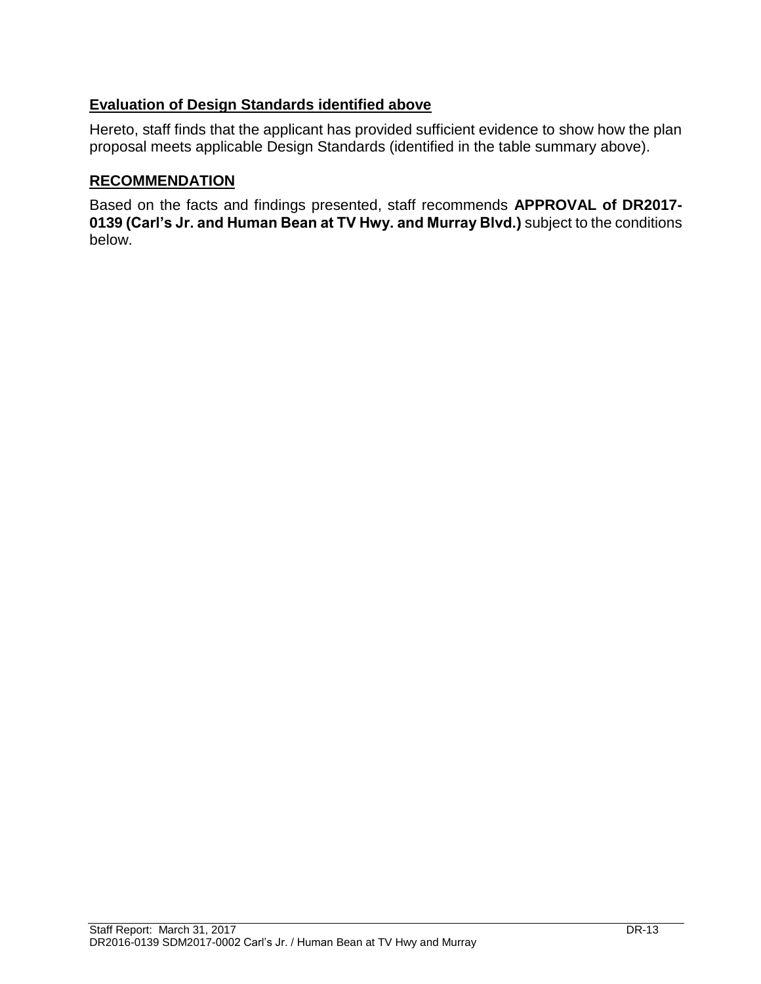# **Evaluation of Design Standards identified above**

Hereto, staff finds that the applicant has provided sufficient evidence to show how the plan proposal meets applicable Design Standards (identified in the table summary above).

### **RECOMMENDATION**

Based on the facts and findings presented, staff recommends **APPROVAL of DR2017- 0139 (Carl's Jr. and Human Bean at TV Hwy. and Murray Blvd.)** subject to the conditions below.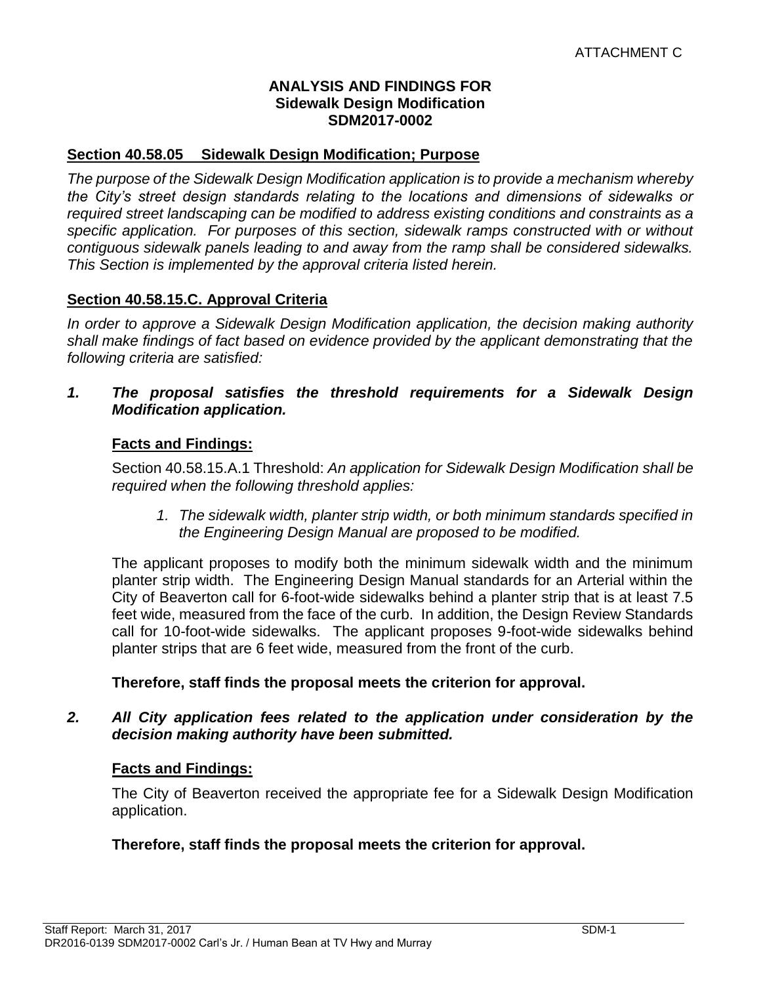#### **ANALYSIS AND FINDINGS FOR Sidewalk Design Modification SDM2017-0002**

#### **Section 40.58.05 Sidewalk Design Modification; Purpose**

*The purpose of the Sidewalk Design Modification application is to provide a mechanism whereby the City's street design standards relating to the locations and dimensions of sidewalks or required street landscaping can be modified to address existing conditions and constraints as a specific application. For purposes of this section, sidewalk ramps constructed with or without contiguous sidewalk panels leading to and away from the ramp shall be considered sidewalks. This Section is implemented by the approval criteria listed herein.*

#### **Section 40.58.15.C. Approval Criteria**

*In order to approve a Sidewalk Design Modification application, the decision making authority shall make findings of fact based on evidence provided by the applicant demonstrating that the following criteria are satisfied:*

#### *1. The proposal satisfies the threshold requirements for a Sidewalk Design Modification application.*

#### **Facts and Findings:**

Section 40.58.15.A.1 Threshold: *An application for Sidewalk Design Modification shall be required when the following threshold applies:*

*1. The sidewalk width, planter strip width, or both minimum standards specified in the Engineering Design Manual are proposed to be modified.*

The applicant proposes to modify both the minimum sidewalk width and the minimum planter strip width. The Engineering Design Manual standards for an Arterial within the City of Beaverton call for 6-foot-wide sidewalks behind a planter strip that is at least 7.5 feet wide, measured from the face of the curb. In addition, the Design Review Standards call for 10-foot-wide sidewalks. The applicant proposes 9-foot-wide sidewalks behind planter strips that are 6 feet wide, measured from the front of the curb.

#### **Therefore, staff finds the proposal meets the criterion for approval.**

*2. All City application fees related to the application under consideration by the decision making authority have been submitted.*

#### **Facts and Findings:**

The City of Beaverton received the appropriate fee for a Sidewalk Design Modification application.

#### **Therefore, staff finds the proposal meets the criterion for approval.**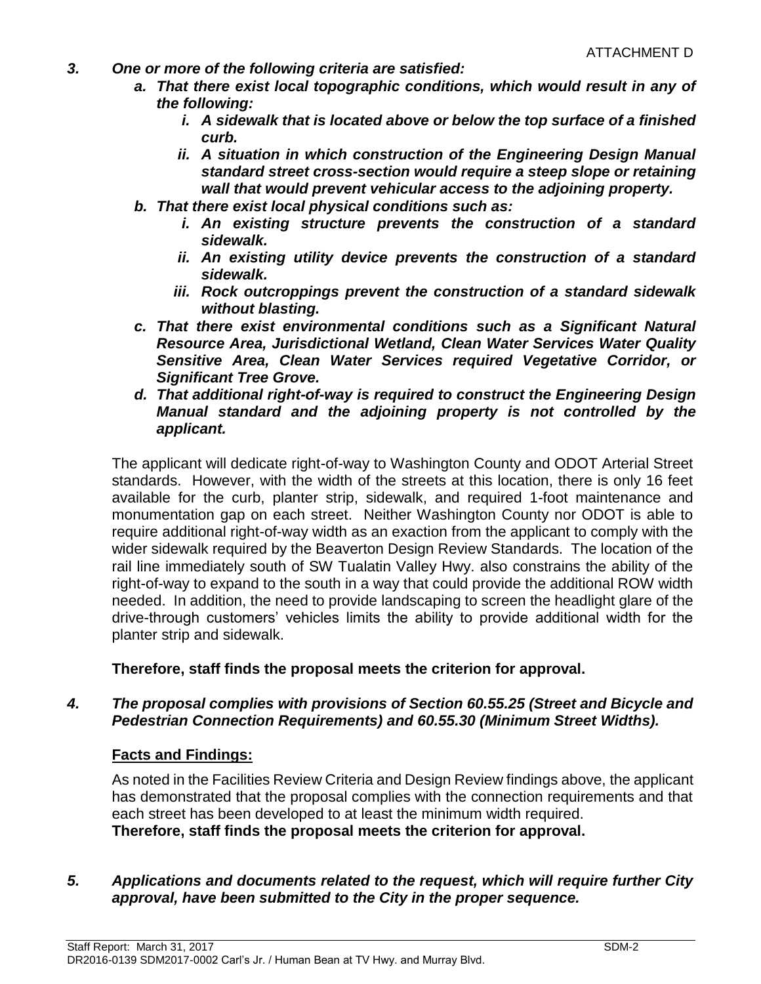- *3. One or more of the following criteria are satisfied:*
	- *a. That there exist local topographic conditions, which would result in any of the following:*
		- *i. A sidewalk that is located above or below the top surface of a finished curb.*
		- *ii. A situation in which construction of the Engineering Design Manual standard street cross-section would require a steep slope or retaining wall that would prevent vehicular access to the adjoining property.*
	- *b. That there exist local physical conditions such as:*
		- *i. An existing structure prevents the construction of a standard sidewalk.*
		- *ii. An existing utility device prevents the construction of a standard sidewalk.*
		- *iii. Rock outcroppings prevent the construction of a standard sidewalk without blasting.*
	- *c. That there exist environmental conditions such as a Significant Natural Resource Area, Jurisdictional Wetland, Clean Water Services Water Quality Sensitive Area, Clean Water Services required Vegetative Corridor, or Significant Tree Grove.*
	- *d. That additional right-of-way is required to construct the Engineering Design Manual standard and the adjoining property is not controlled by the applicant.*

The applicant will dedicate right-of-way to Washington County and ODOT Arterial Street standards. However, with the width of the streets at this location, there is only 16 feet available for the curb, planter strip, sidewalk, and required 1-foot maintenance and monumentation gap on each street. Neither Washington County nor ODOT is able to require additional right-of-way width as an exaction from the applicant to comply with the wider sidewalk required by the Beaverton Design Review Standards. The location of the rail line immediately south of SW Tualatin Valley Hwy. also constrains the ability of the right-of-way to expand to the south in a way that could provide the additional ROW width needed. In addition, the need to provide landscaping to screen the headlight glare of the drive-through customers' vehicles limits the ability to provide additional width for the planter strip and sidewalk.

**Therefore, staff finds the proposal meets the criterion for approval.**

### *4. The proposal complies with provisions of Section 60.55.25 (Street and Bicycle and Pedestrian Connection Requirements) and 60.55.30 (Minimum Street Widths).*

#### **Facts and Findings:**

As noted in the Facilities Review Criteria and Design Review findings above, the applicant has demonstrated that the proposal complies with the connection requirements and that each street has been developed to at least the minimum width required. **Therefore, staff finds the proposal meets the criterion for approval.**

### *5. Applications and documents related to the request, which will require further City approval, have been submitted to the City in the proper sequence.*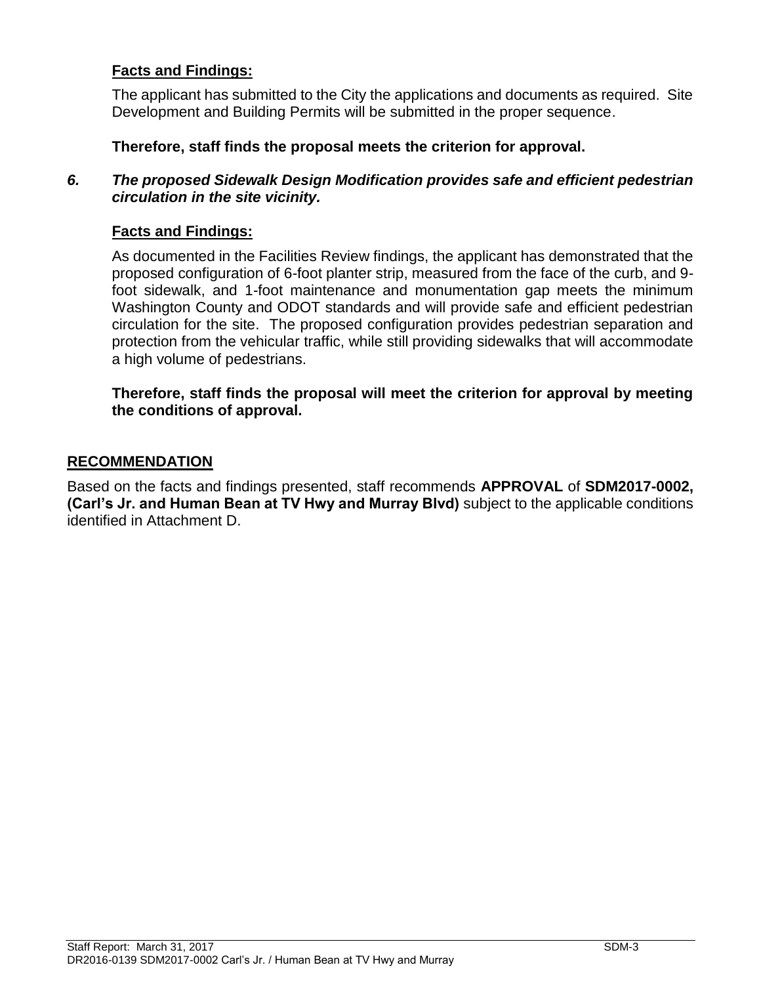# **Facts and Findings:**

The applicant has submitted to the City the applications and documents as required. Site Development and Building Permits will be submitted in the proper sequence.

### **Therefore, staff finds the proposal meets the criterion for approval.**

#### *6. The proposed Sidewalk Design Modification provides safe and efficient pedestrian circulation in the site vicinity.*

### **Facts and Findings:**

As documented in the Facilities Review findings, the applicant has demonstrated that the proposed configuration of 6-foot planter strip, measured from the face of the curb, and 9 foot sidewalk, and 1-foot maintenance and monumentation gap meets the minimum Washington County and ODOT standards and will provide safe and efficient pedestrian circulation for the site. The proposed configuration provides pedestrian separation and protection from the vehicular traffic, while still providing sidewalks that will accommodate a high volume of pedestrians.

**Therefore, staff finds the proposal will meet the criterion for approval by meeting the conditions of approval.**

#### **RECOMMENDATION**

Based on the facts and findings presented, staff recommends **APPROVAL** of **SDM2017-0002, (Carl's Jr. and Human Bean at TV Hwy and Murray Blvd)** subject to the applicable conditions identified in Attachment D.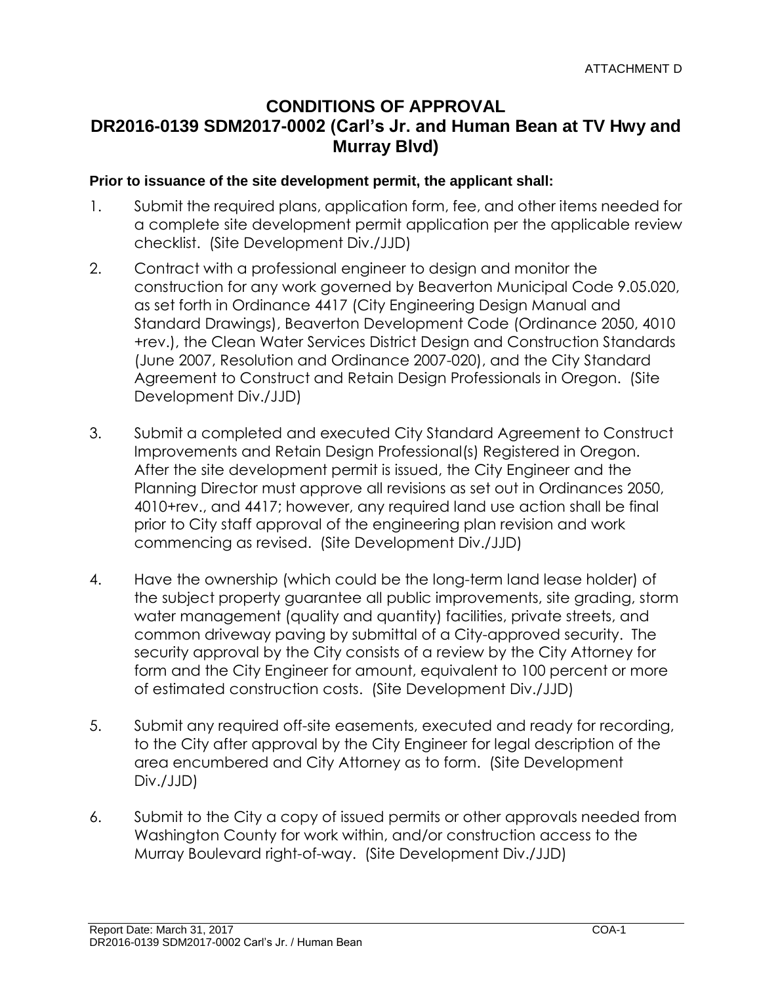# **CONDITIONS OF APPROVAL DR2016-0139 SDM2017-0002 (Carl's Jr. and Human Bean at TV Hwy and Murray Blvd)**

#### **Prior to issuance of the site development permit, the applicant shall:**

- 1. Submit the required plans, application form, fee, and other items needed for a complete site development permit application per the applicable review checklist. (Site Development Div./JJD)
- 2. Contract with a professional engineer to design and monitor the construction for any work governed by Beaverton Municipal Code 9.05.020, as set forth in Ordinance 4417 (City Engineering Design Manual and Standard Drawings), Beaverton Development Code (Ordinance 2050, 4010 +rev.), the Clean Water Services District Design and Construction Standards (June 2007, Resolution and Ordinance 2007-020), and the City Standard Agreement to Construct and Retain Design Professionals in Oregon. (Site Development Div./JJD)
- 3. Submit a completed and executed City Standard Agreement to Construct Improvements and Retain Design Professional(s) Registered in Oregon. After the site development permit is issued, the City Engineer and the Planning Director must approve all revisions as set out in Ordinances 2050, 4010+rev., and 4417; however, any required land use action shall be final prior to City staff approval of the engineering plan revision and work commencing as revised. (Site Development Div./JJD)
- 4. Have the ownership (which could be the long-term land lease holder) of the subject property guarantee all public improvements, site grading, storm water management (quality and quantity) facilities, private streets, and common driveway paving by submittal of a City-approved security. The security approval by the City consists of a review by the City Attorney for form and the City Engineer for amount, equivalent to 100 percent or more of estimated construction costs. (Site Development Div./JJD)
- 5. Submit any required off-site easements, executed and ready for recording, to the City after approval by the City Engineer for legal description of the area encumbered and City Attorney as to form. (Site Development Div./JJD)
- 6. Submit to the City a copy of issued permits or other approvals needed from Washington County for work within, and/or construction access to the Murray Boulevard right-of-way. (Site Development Div./JJD)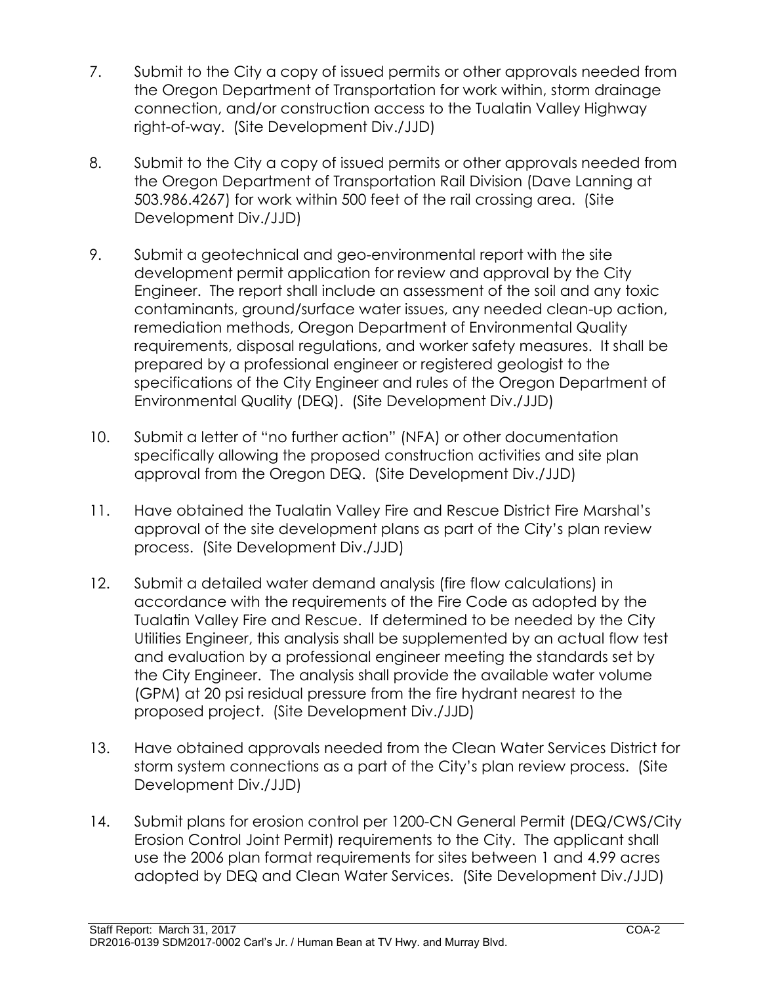- 7. Submit to the City a copy of issued permits or other approvals needed from the Oregon Department of Transportation for work within, storm drainage connection, and/or construction access to the Tualatin Valley Highway right-of-way. (Site Development Div./JJD)
- 8. Submit to the City a copy of issued permits or other approvals needed from the Oregon Department of Transportation Rail Division (Dave Lanning at 503.986.4267) for work within 500 feet of the rail crossing area. (Site Development Div./JJD)
- 9. Submit a geotechnical and geo-environmental report with the site development permit application for review and approval by the City Engineer. The report shall include an assessment of the soil and any toxic contaminants, ground/surface water issues, any needed clean-up action, remediation methods, Oregon Department of Environmental Quality requirements, disposal regulations, and worker safety measures. It shall be prepared by a professional engineer or registered geologist to the specifications of the City Engineer and rules of the Oregon Department of Environmental Quality (DEQ). (Site Development Div./JJD)
- 10. Submit a letter of "no further action" (NFA) or other documentation specifically allowing the proposed construction activities and site plan approval from the Oregon DEQ. (Site Development Div./JJD)
- 11. Have obtained the Tualatin Valley Fire and Rescue District Fire Marshal's approval of the site development plans as part of the City's plan review process. (Site Development Div./JJD)
- 12. Submit a detailed water demand analysis (fire flow calculations) in accordance with the requirements of the Fire Code as adopted by the Tualatin Valley Fire and Rescue. If determined to be needed by the City Utilities Engineer, this analysis shall be supplemented by an actual flow test and evaluation by a professional engineer meeting the standards set by the City Engineer. The analysis shall provide the available water volume (GPM) at 20 psi residual pressure from the fire hydrant nearest to the proposed project. (Site Development Div./JJD)
- 13. Have obtained approvals needed from the Clean Water Services District for storm system connections as a part of the City's plan review process. (Site Development Div./JJD)
- 14. Submit plans for erosion control per 1200-CN General Permit (DEQ/CWS/City Erosion Control Joint Permit) requirements to the City. The applicant shall use the 2006 plan format requirements for sites between 1 and 4.99 acres adopted by DEQ and Clean Water Services. (Site Development Div./JJD)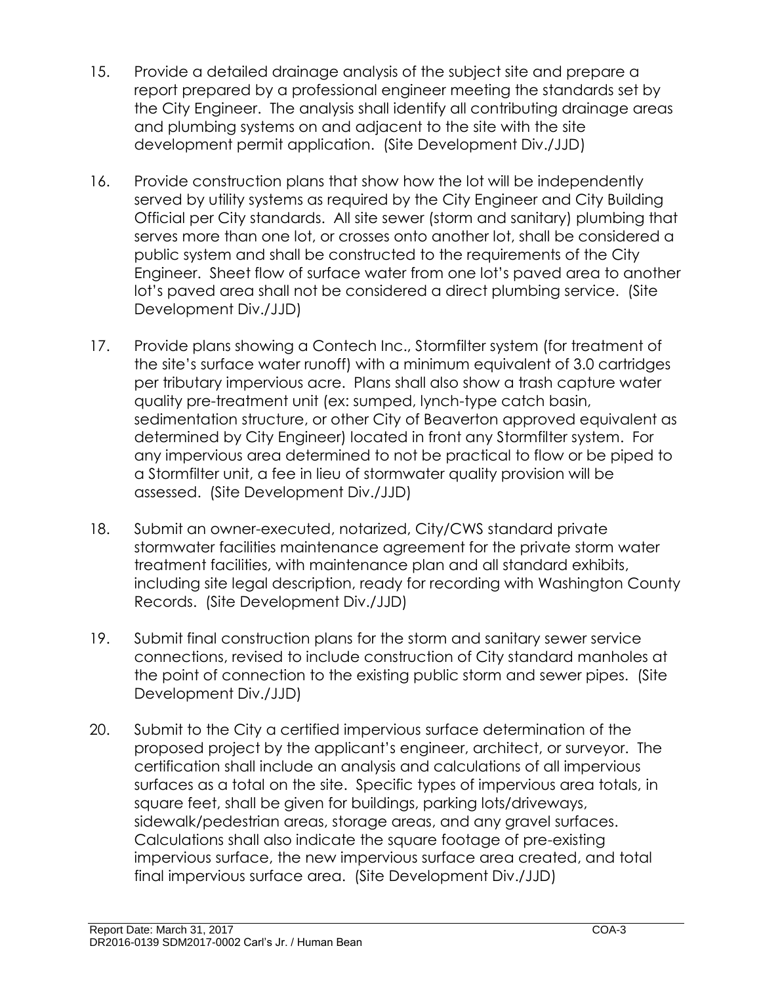- 15. Provide a detailed drainage analysis of the subject site and prepare a report prepared by a professional engineer meeting the standards set by the City Engineer. The analysis shall identify all contributing drainage areas and plumbing systems on and adjacent to the site with the site development permit application. (Site Development Div./JJD)
- 16. Provide construction plans that show how the lot will be independently served by utility systems as required by the City Engineer and City Building Official per City standards. All site sewer (storm and sanitary) plumbing that serves more than one lot, or crosses onto another lot, shall be considered a public system and shall be constructed to the requirements of the City Engineer. Sheet flow of surface water from one lot's paved area to another lot's paved area shall not be considered a direct plumbing service. (Site Development Div./JJD)
- 17. Provide plans showing a Contech Inc., Stormfilter system (for treatment of the site's surface water runoff) with a minimum equivalent of 3.0 cartridges per tributary impervious acre. Plans shall also show a trash capture water quality pre-treatment unit (ex: sumped, lynch-type catch basin, sedimentation structure, or other City of Beaverton approved equivalent as determined by City Engineer) located in front any Stormfilter system. For any impervious area determined to not be practical to flow or be piped to a Stormfilter unit, a fee in lieu of stormwater quality provision will be assessed. (Site Development Div./JJD)
- 18. Submit an owner-executed, notarized, City/CWS standard private stormwater facilities maintenance agreement for the private storm water treatment facilities, with maintenance plan and all standard exhibits, including site legal description, ready for recording with Washington County Records. (Site Development Div./JJD)
- 19. Submit final construction plans for the storm and sanitary sewer service connections, revised to include construction of City standard manholes at the point of connection to the existing public storm and sewer pipes. (Site Development Div./JJD)
- 20. Submit to the City a certified impervious surface determination of the proposed project by the applicant's engineer, architect, or surveyor. The certification shall include an analysis and calculations of all impervious surfaces as a total on the site. Specific types of impervious area totals, in square feet, shall be given for buildings, parking lots/driveways, sidewalk/pedestrian areas, storage areas, and any gravel surfaces. Calculations shall also indicate the square footage of pre-existing impervious surface, the new impervious surface area created, and total final impervious surface area. (Site Development Div./JJD)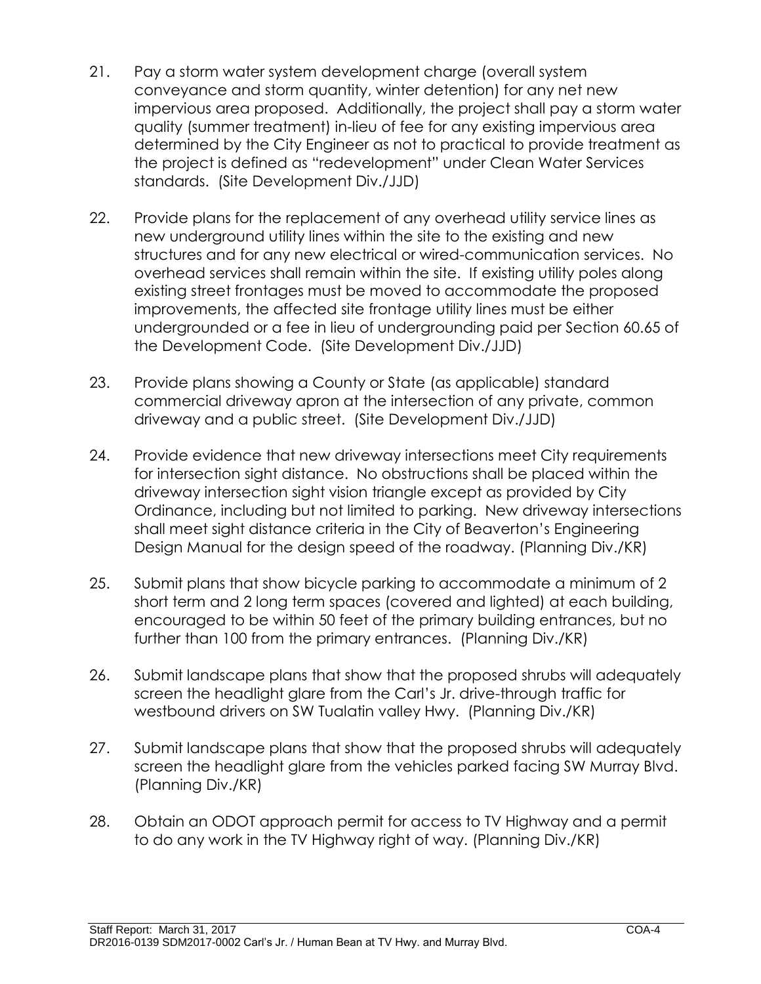- 21. Pay a storm water system development charge (overall system conveyance and storm quantity, winter detention) for any net new impervious area proposed. Additionally, the project shall pay a storm water quality (summer treatment) in-lieu of fee for any existing impervious area determined by the City Engineer as not to practical to provide treatment as the project is defined as "redevelopment" under Clean Water Services standards. (Site Development Div./JJD)
- 22. Provide plans for the replacement of any overhead utility service lines as new underground utility lines within the site to the existing and new structures and for any new electrical or wired-communication services. No overhead services shall remain within the site. If existing utility poles along existing street frontages must be moved to accommodate the proposed improvements, the affected site frontage utility lines must be either undergrounded or a fee in lieu of undergrounding paid per Section 60.65 of the Development Code. (Site Development Div./JJD)
- 23. Provide plans showing a County or State (as applicable) standard commercial driveway apron at the intersection of any private, common driveway and a public street. (Site Development Div./JJD)
- 24. Provide evidence that new driveway intersections meet City requirements for intersection sight distance. No obstructions shall be placed within the driveway intersection sight vision triangle except as provided by City Ordinance, including but not limited to parking. New driveway intersections shall meet sight distance criteria in the City of Beaverton's Engineering Design Manual for the design speed of the roadway. (Planning Div./KR)
- 25. Submit plans that show bicycle parking to accommodate a minimum of 2 short term and 2 long term spaces (covered and lighted) at each building, encouraged to be within 50 feet of the primary building entrances, but no further than 100 from the primary entrances. (Planning Div./KR)
- 26. Submit landscape plans that show that the proposed shrubs will adequately screen the headlight glare from the Carl's Jr. drive-through traffic for westbound drivers on SW Tualatin valley Hwy. (Planning Div./KR)
- 27. Submit landscape plans that show that the proposed shrubs will adequately screen the headlight glare from the vehicles parked facing SW Murray Blvd. (Planning Div./KR)
- 28. Obtain an ODOT approach permit for access to TV Highway and a permit to do any work in the TV Highway right of way. (Planning Div./KR)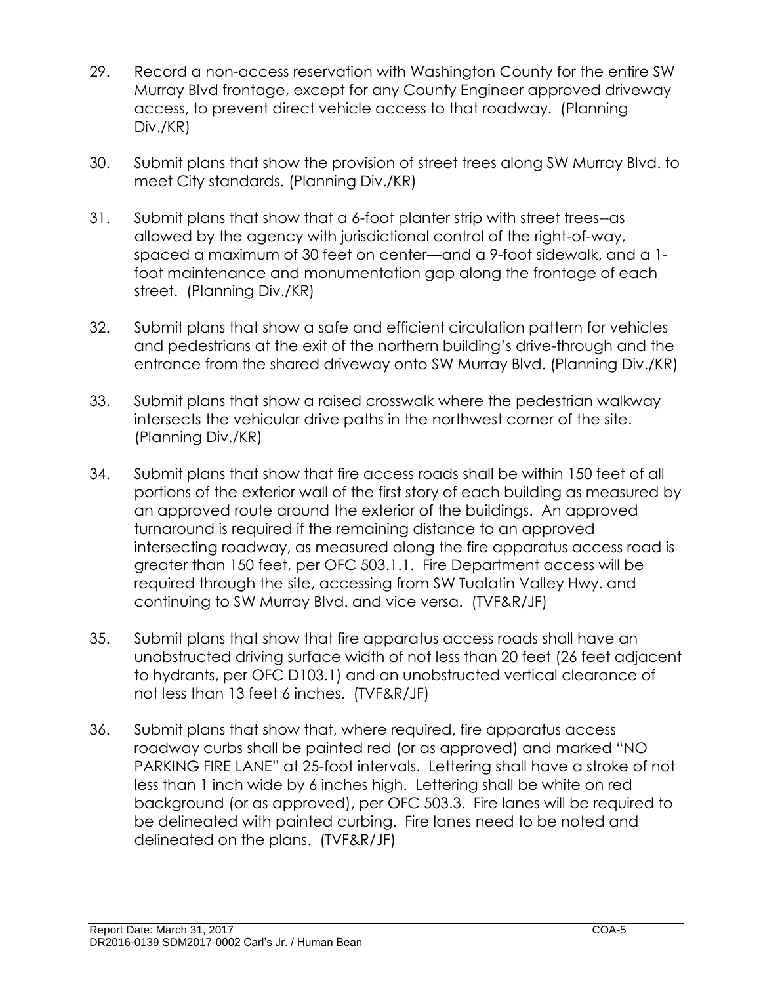- 29. Record a non-access reservation with Washington County for the entire SW Murray Blvd frontage, except for any County Engineer approved driveway access, to prevent direct vehicle access to that roadway. (Planning Div./KR)
- 30. Submit plans that show the provision of street trees along SW Murray Blvd. to meet City standards. (Planning Div./KR)
- 31. Submit plans that show that a 6-foot planter strip with street trees--as allowed by the agency with jurisdictional control of the right-of-way, spaced a maximum of 30 feet on center—and a 9-foot sidewalk, and a 1 foot maintenance and monumentation gap along the frontage of each street. (Planning Div./KR)
- 32. Submit plans that show a safe and efficient circulation pattern for vehicles and pedestrians at the exit of the northern building's drive-through and the entrance from the shared driveway onto SW Murray Blvd. (Planning Div./KR)
- 33. Submit plans that show a raised crosswalk where the pedestrian walkway intersects the vehicular drive paths in the northwest corner of the site. (Planning Div./KR)
- 34. Submit plans that show that fire access roads shall be within 150 feet of all portions of the exterior wall of the first story of each building as measured by an approved route around the exterior of the buildings. An approved turnaround is required if the remaining distance to an approved intersecting roadway, as measured along the fire apparatus access road is greater than 150 feet, per OFC 503.1.1. Fire Department access will be required through the site, accessing from SW Tualatin Valley Hwy. and continuing to SW Murray Blvd. and vice versa. (TVF&R/JF)
- 35. Submit plans that show that fire apparatus access roads shall have an unobstructed driving surface width of not less than 20 feet (26 feet adjacent to hydrants, per OFC D103.1) and an unobstructed vertical clearance of not less than 13 feet 6 inches. (TVF&R/JF)
- 36. Submit plans that show that, where required, fire apparatus access roadway curbs shall be painted red (or as approved) and marked "NO PARKING FIRE LANE" at 25-foot intervals. Lettering shall have a stroke of not less than 1 inch wide by 6 inches high. Lettering shall be white on red background (or as approved), per OFC 503.3. Fire lanes will be required to be delineated with painted curbing. Fire lanes need to be noted and delineated on the plans. (TVF&R/JF)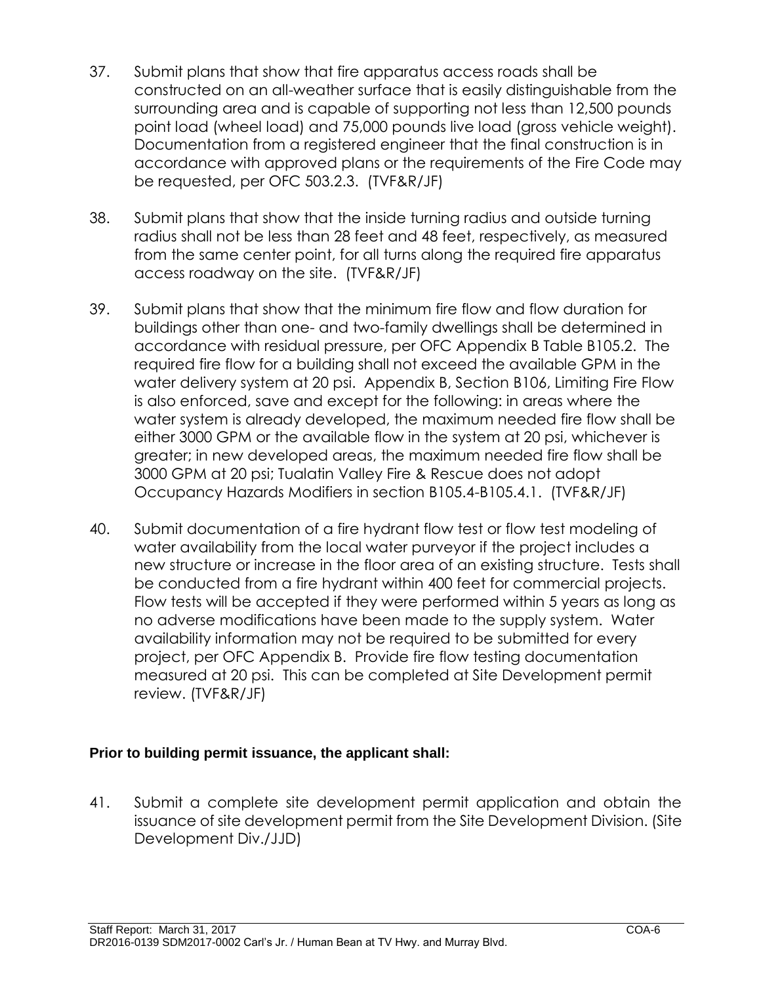- 37. Submit plans that show that fire apparatus access roads shall be constructed on an all-weather surface that is easily distinguishable from the surrounding area and is capable of supporting not less than 12,500 pounds point load (wheel load) and 75,000 pounds live load (gross vehicle weight). Documentation from a registered engineer that the final construction is in accordance with approved plans or the requirements of the Fire Code may be requested, per OFC 503.2.3. (TVF&R/JF)
- 38. Submit plans that show that the inside turning radius and outside turning radius shall not be less than 28 feet and 48 feet, respectively, as measured from the same center point, for all turns along the required fire apparatus access roadway on the site. (TVF&R/JF)
- 39. Submit plans that show that the minimum fire flow and flow duration for buildings other than one- and two-family dwellings shall be determined in accordance with residual pressure, per OFC Appendix B Table B105.2. The required fire flow for a building shall not exceed the available GPM in the water delivery system at 20 psi. Appendix B, Section B106, Limiting Fire Flow is also enforced, save and except for the following: in areas where the water system is already developed, the maximum needed fire flow shall be either 3000 GPM or the available flow in the system at 20 psi, whichever is greater; in new developed areas, the maximum needed fire flow shall be 3000 GPM at 20 psi; Tualatin Valley Fire & Rescue does not adopt Occupancy Hazards Modifiers in section B105.4-B105.4.1. (TVF&R/JF)
- 40. Submit documentation of a fire hydrant flow test or flow test modeling of water availability from the local water purveyor if the project includes a new structure or increase in the floor area of an existing structure. Tests shall be conducted from a fire hydrant within 400 feet for commercial projects. Flow tests will be accepted if they were performed within 5 years as long as no adverse modifications have been made to the supply system. Water availability information may not be required to be submitted for every project, per OFC Appendix B. Provide fire flow testing documentation measured at 20 psi. This can be completed at Site Development permit review. (TVF&R/JF)

# **Prior to building permit issuance, the applicant shall:**

41. Submit a complete site development permit application and obtain the issuance of site development permit from the Site Development Division. (Site Development Div./JJD)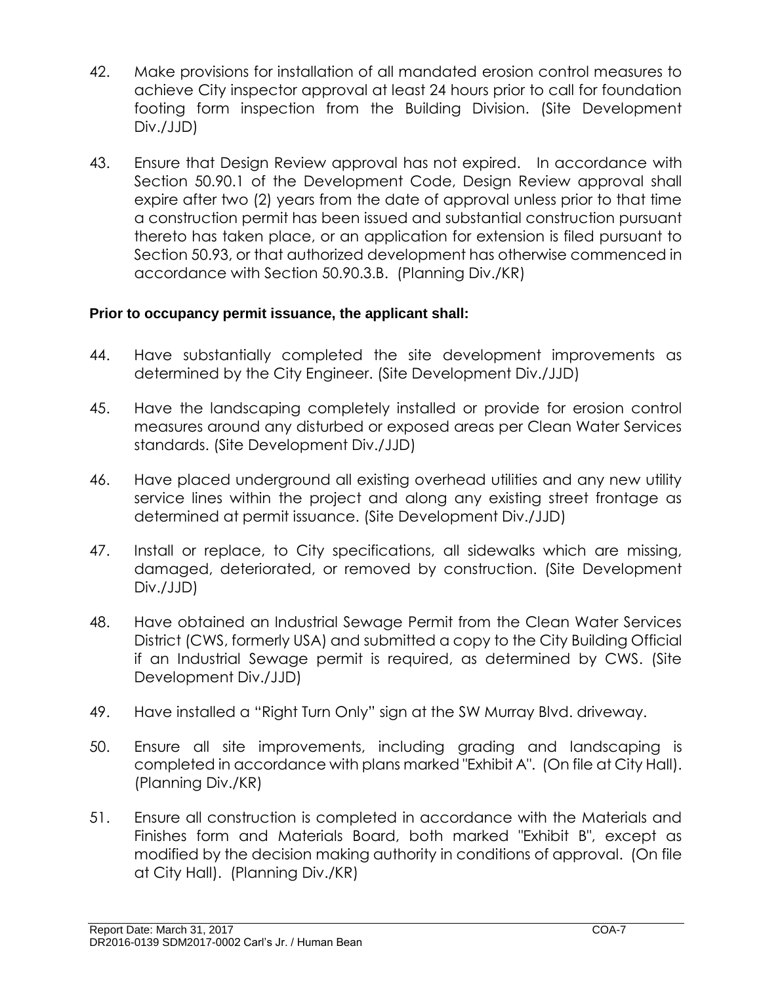- 42. Make provisions for installation of all mandated erosion control measures to achieve City inspector approval at least 24 hours prior to call for foundation footing form inspection from the Building Division. (Site Development Div./JJD)
- 43. Ensure that Design Review approval has not expired. In accordance with Section 50.90.1 of the Development Code, Design Review approval shall expire after two (2) years from the date of approval unless prior to that time a construction permit has been issued and substantial construction pursuant thereto has taken place, or an application for extension is filed pursuant to Section 50.93, or that authorized development has otherwise commenced in accordance with Section 50.90.3.B. (Planning Div./KR)

# **Prior to occupancy permit issuance, the applicant shall:**

- 44. Have substantially completed the site development improvements as determined by the City Engineer. (Site Development Div./JJD)
- 45. Have the landscaping completely installed or provide for erosion control measures around any disturbed or exposed areas per Clean Water Services standards. (Site Development Div./JJD)
- 46. Have placed underground all existing overhead utilities and any new utility service lines within the project and along any existing street frontage as determined at permit issuance. (Site Development Div./JJD)
- 47. Install or replace, to City specifications, all sidewalks which are missing, damaged, deteriorated, or removed by construction. (Site Development Div./JJD)
- 48. Have obtained an Industrial Sewage Permit from the Clean Water Services District (CWS, formerly USA) and submitted a copy to the City Building Official if an Industrial Sewage permit is required, as determined by CWS. (Site Development Div./JJD)
- 49. Have installed a "Right Turn Only" sign at the SW Murray Blvd. driveway.
- 50. Ensure all site improvements, including grading and landscaping is completed in accordance with plans marked "Exhibit A". (On file at City Hall). (Planning Div./KR)
- 51. Ensure all construction is completed in accordance with the Materials and Finishes form and Materials Board, both marked "Exhibit B", except as modified by the decision making authority in conditions of approval. (On file at City Hall). (Planning Div./KR)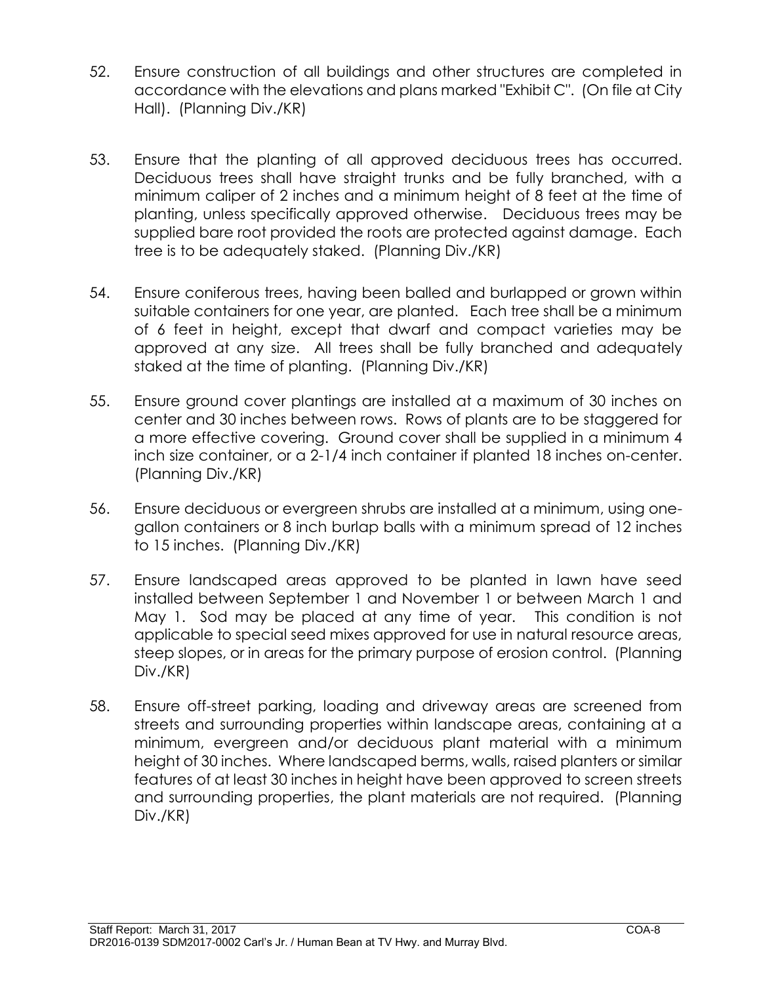- 52. Ensure construction of all buildings and other structures are completed in accordance with the elevations and plans marked "Exhibit C". (On file at City Hall). (Planning Div./KR)
- 53. Ensure that the planting of all approved deciduous trees has occurred. Deciduous trees shall have straight trunks and be fully branched, with a minimum caliper of 2 inches and a minimum height of 8 feet at the time of planting, unless specifically approved otherwise. Deciduous trees may be supplied bare root provided the roots are protected against damage. Each tree is to be adequately staked. (Planning Div./KR)
- 54. Ensure coniferous trees, having been balled and burlapped or grown within suitable containers for one year, are planted. Each tree shall be a minimum of 6 feet in height, except that dwarf and compact varieties may be approved at any size. All trees shall be fully branched and adequately staked at the time of planting. (Planning Div./KR)
- 55. Ensure ground cover plantings are installed at a maximum of 30 inches on center and 30 inches between rows. Rows of plants are to be staggered for a more effective covering. Ground cover shall be supplied in a minimum 4 inch size container, or a 2-1/4 inch container if planted 18 inches on-center. (Planning Div./KR)
- 56. Ensure deciduous or evergreen shrubs are installed at a minimum, using onegallon containers or 8 inch burlap balls with a minimum spread of 12 inches to 15 inches. (Planning Div./KR)
- 57. Ensure landscaped areas approved to be planted in lawn have seed installed between September 1 and November 1 or between March 1 and May 1. Sod may be placed at any time of year. This condition is not applicable to special seed mixes approved for use in natural resource areas, steep slopes, or in areas for the primary purpose of erosion control. (Planning Div./KR)
- 58. Ensure off-street parking, loading and driveway areas are screened from streets and surrounding properties within landscape areas, containing at a minimum, evergreen and/or deciduous plant material with a minimum height of 30 inches. Where landscaped berms, walls, raised planters or similar features of at least 30 inches in height have been approved to screen streets and surrounding properties, the plant materials are not required. (Planning Div./KR)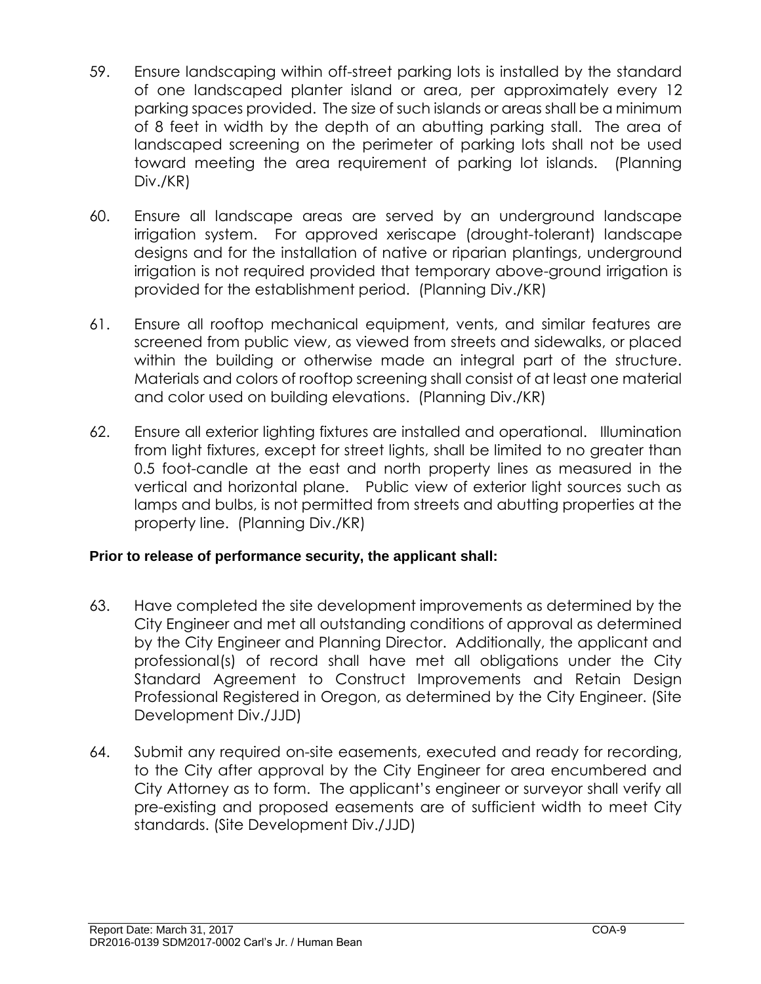- 59. Ensure landscaping within off-street parking lots is installed by the standard of one landscaped planter island or area, per approximately every 12 parking spaces provided. The size of such islands or areas shall be a minimum of 8 feet in width by the depth of an abutting parking stall. The area of landscaped screening on the perimeter of parking lots shall not be used toward meeting the area requirement of parking lot islands. (Planning Div./KR)
- 60. Ensure all landscape areas are served by an underground landscape irrigation system. For approved xeriscape (drought-tolerant) landscape designs and for the installation of native or riparian plantings, underground irrigation is not required provided that temporary above-ground irrigation is provided for the establishment period. (Planning Div./KR)
- 61. Ensure all rooftop mechanical equipment, vents, and similar features are screened from public view, as viewed from streets and sidewalks, or placed within the building or otherwise made an integral part of the structure. Materials and colors of rooftop screening shall consist of at least one material and color used on building elevations. (Planning Div./KR)
- 62. Ensure all exterior lighting fixtures are installed and operational. Illumination from light fixtures, except for street lights, shall be limited to no greater than 0.5 foot-candle at the east and north property lines as measured in the vertical and horizontal plane. Public view of exterior light sources such as lamps and bulbs, is not permitted from streets and abutting properties at the property line. (Planning Div./KR)

# **Prior to release of performance security, the applicant shall:**

- 63. Have completed the site development improvements as determined by the City Engineer and met all outstanding conditions of approval as determined by the City Engineer and Planning Director. Additionally, the applicant and professional(s) of record shall have met all obligations under the City Standard Agreement to Construct Improvements and Retain Design Professional Registered in Oregon, as determined by the City Engineer. (Site Development Div./JJD)
- 64. Submit any required on-site easements, executed and ready for recording, to the City after approval by the City Engineer for area encumbered and City Attorney as to form. The applicant's engineer or surveyor shall verify all pre-existing and proposed easements are of sufficient width to meet City standards. (Site Development Div./JJD)